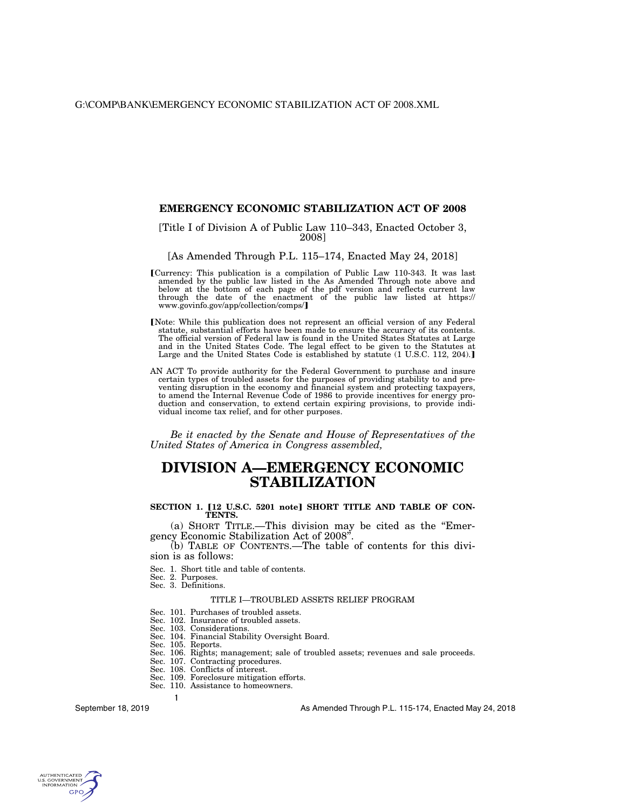# **EMERGENCY ECONOMIC STABILIZATION ACT OF 2008**

# [Title I of Division A of Public Law 110–343, Enacted October 3, 2008]

[As Amended Through P.L. 115–174, Enacted May 24, 2018]

- øCurrency: This publication is a compilation of Public Law 110-343. It was last amended by the public law listed in the As Amended Through note above and below at the bottom of each page of the pdf version and reflects current law through the date of the enactment of the public law listed at https:// www.govinfo.gov/app/collection/comps/]
- [Note: While this publication does not represent an official version of any Federal statute, substantial efforts have been made to ensure the accuracy of its contents. The official version of Federal law is found in the United States Statutes at Large and in the United States Code. The legal effect to be given to the Statutes at Large and the United States Code is established by statute (1 U.S.C. 112, 204).
- AN ACT To provide authority for the Federal Government to purchase and insure certain types of troubled assets for the purposes of providing stability to and preventing disruption in the economy and financial system and protecting taxpayers, to amend the Internal Revenue Code of 1986 to provide incentives for energy production and conservation, to extend certain expiring provisions, to provide individual income tax relief, and for other purposes.

*Be it enacted by the Senate and House of Representatives of the United States of America in Congress assembled,* 

# **DIVISION A—EMERGENCY ECONOMIC STABILIZATION**

#### **SECTION 1. [12 U.S.C. 5201 note] SHORT TITLE AND TABLE OF CON-TENTS.**

(a) SHORT TITLE.—This division may be cited as the ''Emergency Economic Stabilization Act of 2008''.

(b) TABLE OF CONTENTS.—The table of contents for this division is as follows:

Sec. 1. Short title and table of contents.

Sec. 2. Purposes.

Sec. 3. Definitions.

## TITLE I—TROUBLED ASSETS RELIEF PROGRAM

Sec. 101. Purchases of troubled assets.

Sec. 102. Insurance of troubled assets.

Sec. 103. Considerations.

- Sec. 104. Financial Stability Oversight Board.
- Sec. 105. Reports.

**1** 

Sec. 106. Rights; management; sale of troubled assets; revenues and sale proceeds.

Sec. 107. Contracting procedures.

Sec. 108. Conflicts of interest.

- Sec. 109. Foreclosure mitigation efforts.
- Sec. 110. Assistance to homeowners.

September 18, 2019

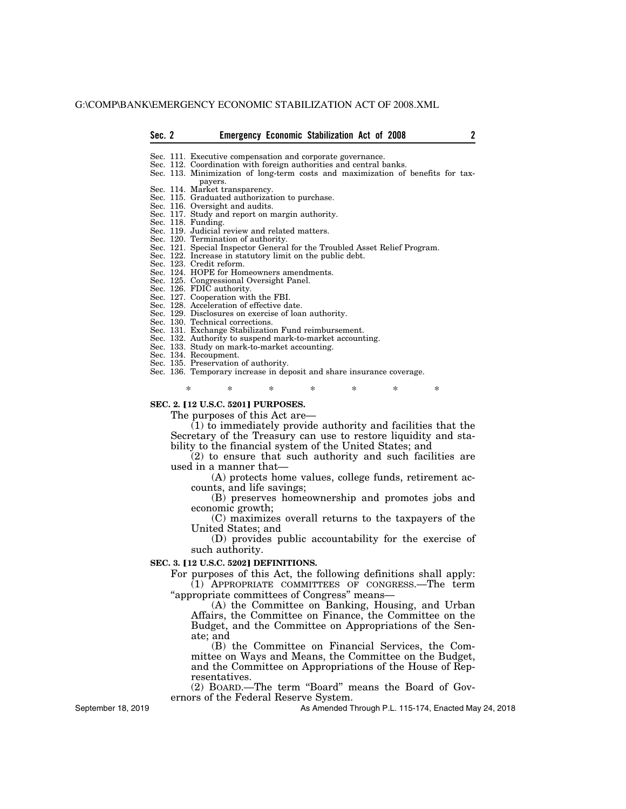| Sec. 2 |  | Emergency Economic Stabilization Act of 2008 |  |  |  |
|--------|--|----------------------------------------------|--|--|--|
|        |  |                                              |  |  |  |

- Sec. 111. Executive compensation and corporate governance.
- Sec. 112. Coordination with foreign authorities and central banks.
- Sec. 113. Minimization of long-term costs and maximization of benefits for taxpayers.
- Sec. 114. Market transparency.
- Sec. 115. Graduated authorization to purchase.
- Sec. 116. Oversight and audits.
- Sec. 117. Study and report on margin authority.
- Sec. 118. Funding.
- Sec. 119. Judicial review and related matters.
- Sec. 120. Termination of authority.
- Sec. 121. Special Inspector General for the Troubled Asset Relief Program.
- Sec. 122. Increase in statutory limit on the public debt.
- Sec. 123. Credit reform.
- Sec. 124. HOPE for Homeowners amendments.
- Sec. 125. Congressional Oversight Panel.
- Sec. 126. FDIC authority.
- Sec. 127. Cooperation with the FBI.
- Sec. 128. Acceleration of effective date.
- Sec. 129. Disclosures on exercise of loan authority.
- Sec. 130. Technical corrections.
- Sec. 131. Exchange Stabilization Fund reimbursement.
- Sec. 132. Authority to suspend mark-to-market accounting.
- Sec. 133. Study on mark-to-market accounting.
- Sec. 134. Recoupment.
- Sec. 135. Preservation of authority.
- Sec. 136. Temporary increase in deposit and share insurance coverage.

\* \* \* \* \* \* \*

**SEC. 2. [12 U.S.C. 5201] PURPOSES.** 

The purposes of this Act are—

(1) to immediately provide authority and facilities that the Secretary of the Treasury can use to restore liquidity and stability to the financial system of the United States; and

(2) to ensure that such authority and such facilities are used in a manner that—

(A) protects home values, college funds, retirement accounts, and life savings;

(B) preserves homeownership and promotes jobs and economic growth;

(C) maximizes overall returns to the taxpayers of the United States; and

(D) provides public accountability for the exercise of such authority.

#### **SEC. 3. [12 U.S.C. 5202] DEFINITIONS.**

For purposes of this Act, the following definitions shall apply: (1) APPROPRIATE COMMITTEES OF CONGRESS.—The term ''appropriate committees of Congress'' means—

(A) the Committee on Banking, Housing, and Urban Affairs, the Committee on Finance, the Committee on the Budget, and the Committee on Appropriations of the Senate; and

(B) the Committee on Financial Services, the Committee on Ways and Means, the Committee on the Budget, and the Committee on Appropriations of the House of Representatives.

(2) BOARD.—The term ''Board'' means the Board of Governors of the Federal Reserve System.

September 18, 2019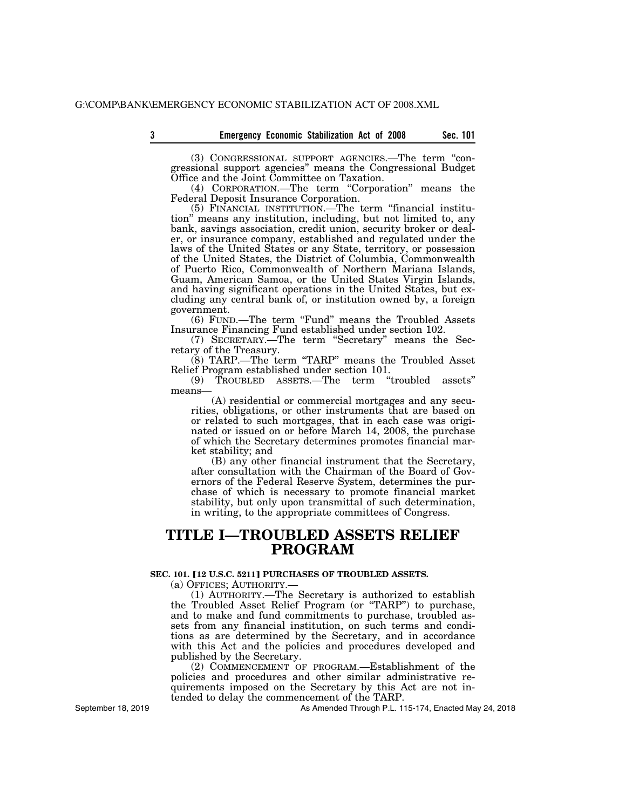(3) CONGRESSIONAL SUPPORT AGENCIES.—The term ''congressional support agencies'' means the Congressional Budget Office and the Joint Committee on Taxation.

(4) CORPORATION.—The term ''Corporation'' means the Federal Deposit Insurance Corporation.

(5) FINANCIAL INSTITUTION.—The term ''financial institution'' means any institution, including, but not limited to, any bank, savings association, credit union, security broker or dealer, or insurance company, established and regulated under the laws of the United States or any State, territory, or possession of the United States, the District of Columbia, Commonwealth of Puerto Rico, Commonwealth of Northern Mariana Islands, Guam, American Samoa, or the United States Virgin Islands, and having significant operations in the United States, but excluding any central bank of, or institution owned by, a foreign government.

(6) FUND.—The term ''Fund'' means the Troubled Assets Insurance Financing Fund established under section 102.

(7) SECRETARY.—The term ''Secretary'' means the Secretary of the Treasury.

 $(8)$  TARP.—The term "TARP" means the Troubled Asset Relief Program established under section 101.

(9) TROUBLED ASSETS.—The term ''troubled assets'' means—

(A) residential or commercial mortgages and any securities, obligations, or other instruments that are based on or related to such mortgages, that in each case was originated or issued on or before March 14, 2008, the purchase of which the Secretary determines promotes financial market stability; and

(B) any other financial instrument that the Secretary, after consultation with the Chairman of the Board of Governors of the Federal Reserve System, determines the purchase of which is necessary to promote financial market stability, but only upon transmittal of such determination, in writing, to the appropriate committees of Congress.

# **TITLE I—TROUBLED ASSETS RELIEF PROGRAM**

#### **SEC. 101. [12 U.S.C. 5211] PURCHASES OF TROUBLED ASSETS.**

(a) OFFICES; AUTHORITY.—

(1) AUTHORITY.—The Secretary is authorized to establish the Troubled Asset Relief Program (or ''TARP'') to purchase, and to make and fund commitments to purchase, troubled assets from any financial institution, on such terms and conditions as are determined by the Secretary, and in accordance with this Act and the policies and procedures developed and published by the Secretary.

(2) COMMENCEMENT OF PROGRAM.—Establishment of the policies and procedures and other similar administrative requirements imposed on the Secretary by this Act are not intended to delay the commencement of the TARP.

As Amended Through P.L. 115-174, Enacted May 24, 2018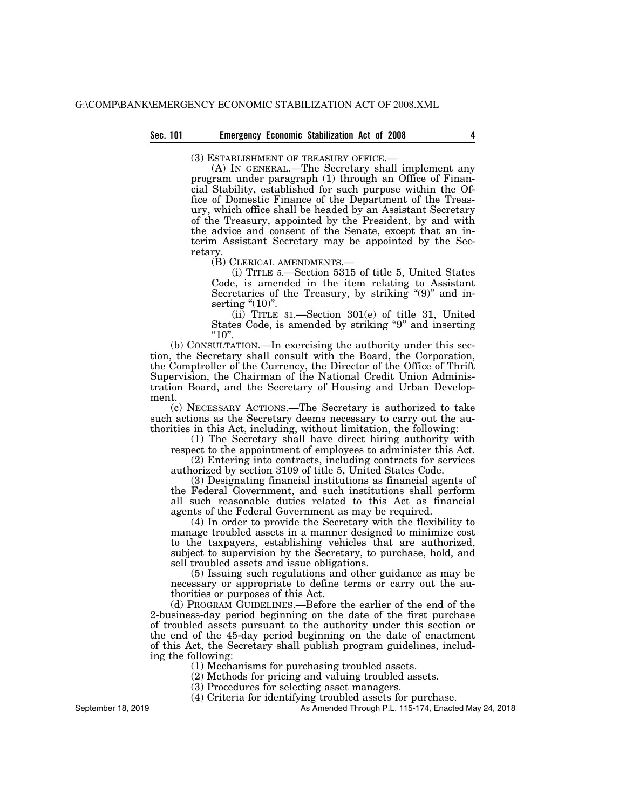(3) ESTABLISHMENT OF TREASURY OFFICE.—

(A) IN GENERAL.—The Secretary shall implement any program under paragraph (1) through an Office of Financial Stability, established for such purpose within the Office of Domestic Finance of the Department of the Treasury, which office shall be headed by an Assistant Secretary of the Treasury, appointed by the President, by and with the advice and consent of the Senate, except that an interim Assistant Secretary may be appointed by the Secretary.

(B) CLERICAL AMENDMENTS.—

(i) TITLE 5.—Section 5315 of title 5, United States Code, is amended in the item relating to Assistant Secretaries of the Treasury, by striking "(9)" and inserting  $\degree(10)$ ".

(ii) TITLE 31.—Section 301(e) of title 31, United States Code, is amended by striking "9" and inserting " $10"$ .

(b) CONSULTATION.—In exercising the authority under this section, the Secretary shall consult with the Board, the Corporation, the Comptroller of the Currency, the Director of the Office of Thrift Supervision, the Chairman of the National Credit Union Administration Board, and the Secretary of Housing and Urban Development.

(c) NECESSARY ACTIONS.—The Secretary is authorized to take such actions as the Secretary deems necessary to carry out the authorities in this Act, including, without limitation, the following:

(1) The Secretary shall have direct hiring authority with respect to the appointment of employees to administer this Act.

(2) Entering into contracts, including contracts for services authorized by section 3109 of title 5, United States Code.

(3) Designating financial institutions as financial agents of the Federal Government, and such institutions shall perform all such reasonable duties related to this Act as financial agents of the Federal Government as may be required.

(4) In order to provide the Secretary with the flexibility to manage troubled assets in a manner designed to minimize cost to the taxpayers, establishing vehicles that are authorized, subject to supervision by the Secretary, to purchase, hold, and sell troubled assets and issue obligations.

(5) Issuing such regulations and other guidance as may be necessary or appropriate to define terms or carry out the authorities or purposes of this Act.

(d) PROGRAM GUIDELINES.—Before the earlier of the end of the 2-business-day period beginning on the date of the first purchase of troubled assets pursuant to the authority under this section or the end of the 45-day period beginning on the date of enactment of this Act, the Secretary shall publish program guidelines, including the following:

(1) Mechanisms for purchasing troubled assets.

(2) Methods for pricing and valuing troubled assets.

(3) Procedures for selecting asset managers.

(4) Criteria for identifying troubled assets for purchase.

As Amended Through P.L. 115-174, Enacted May 24, 2018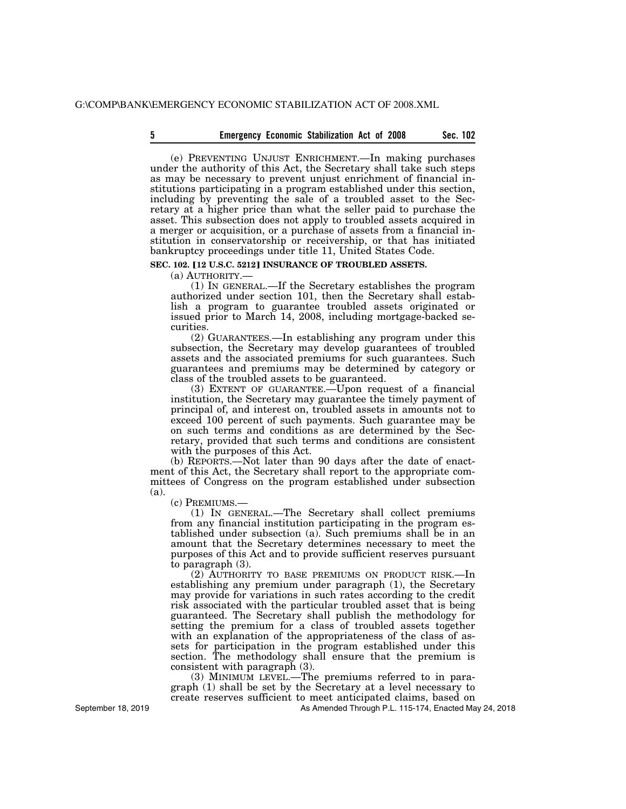#### **5 Sec. 102 Emergency Economic Stabilization Act of 2008**

(e) PREVENTING UNJUST ENRICHMENT.—In making purchases under the authority of this Act, the Secretary shall take such steps as may be necessary to prevent unjust enrichment of financial institutions participating in a program established under this section, including by preventing the sale of a troubled asset to the Secretary at a higher price than what the seller paid to purchase the asset. This subsection does not apply to troubled assets acquired in a merger or acquisition, or a purchase of assets from a financial institution in conservatorship or receivership, or that has initiated bankruptcy proceedings under title 11, United States Code.

# **SEC. 102. [12 U.S.C. 5212] INSURANCE OF TROUBLED ASSETS.**

(a) AUTHORITY.—

(1) IN GENERAL.—If the Secretary establishes the program authorized under section 101, then the Secretary shall establish a program to guarantee troubled assets originated or issued prior to March 14, 2008, including mortgage-backed securities.

(2) GUARANTEES.—In establishing any program under this subsection, the Secretary may develop guarantees of troubled assets and the associated premiums for such guarantees. Such guarantees and premiums may be determined by category or class of the troubled assets to be guaranteed.

(3) EXTENT OF GUARANTEE.—Upon request of a financial institution, the Secretary may guarantee the timely payment of principal of, and interest on, troubled assets in amounts not to exceed 100 percent of such payments. Such guarantee may be on such terms and conditions as are determined by the Secretary, provided that such terms and conditions are consistent with the purposes of this Act.

(b) REPORTS.—Not later than 90 days after the date of enactment of this Act, the Secretary shall report to the appropriate committees of Congress on the program established under subsection (a).

(c) PREMIUMS.—

(1) IN GENERAL.—The Secretary shall collect premiums from any financial institution participating in the program established under subsection (a). Such premiums shall be in an amount that the Secretary determines necessary to meet the purposes of this Act and to provide sufficient reserves pursuant to paragraph (3).

(2) AUTHORITY TO BASE PREMIUMS ON PRODUCT RISK.—In establishing any premium under paragraph (1), the Secretary may provide for variations in such rates according to the credit risk associated with the particular troubled asset that is being guaranteed. The Secretary shall publish the methodology for setting the premium for a class of troubled assets together with an explanation of the appropriateness of the class of assets for participation in the program established under this section. The methodology shall ensure that the premium is consistent with paragraph (3).

(3) MINIMUM LEVEL.—The premiums referred to in paragraph (1) shall be set by the Secretary at a level necessary to create reserves sufficient to meet anticipated claims, based on

As Amended Through P.L. 115-174, Enacted May 24, 2018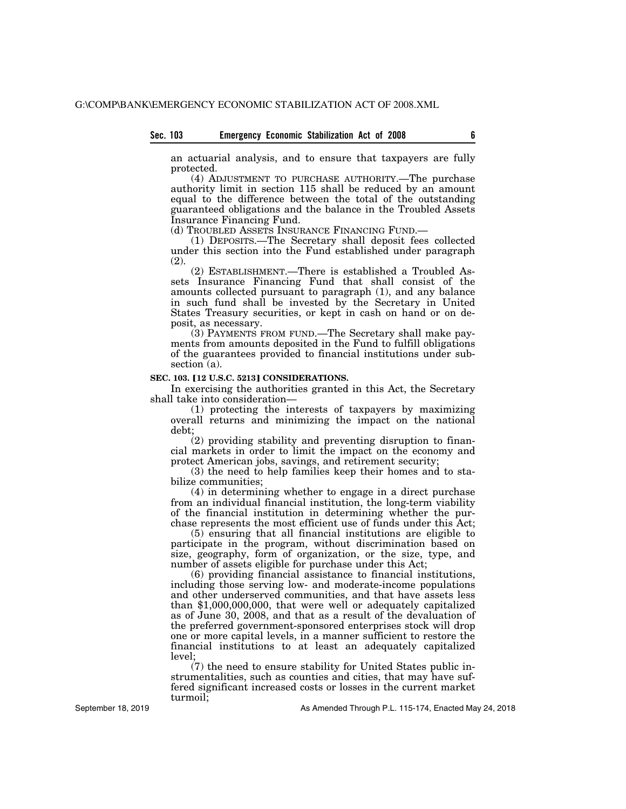#### **Sec. 103 Emergency Economic Stabilization Act of 2008 6**

an actuarial analysis, and to ensure that taxpayers are fully protected.

(4) ADJUSTMENT TO PURCHASE AUTHORITY.—The purchase authority limit in section 115 shall be reduced by an amount equal to the difference between the total of the outstanding guaranteed obligations and the balance in the Troubled Assets Insurance Financing Fund.

(d) TROUBLED ASSETS INSURANCE FINANCING FUND.—

(1) DEPOSITS.—The Secretary shall deposit fees collected under this section into the Fund established under paragraph (2).

(2) ESTABLISHMENT.—There is established a Troubled Assets Insurance Financing Fund that shall consist of the amounts collected pursuant to paragraph (1), and any balance in such fund shall be invested by the Secretary in United States Treasury securities, or kept in cash on hand or on deposit, as necessary.

(3) PAYMENTS FROM FUND.—The Secretary shall make payments from amounts deposited in the Fund to fulfill obligations of the guarantees provided to financial institutions under subsection (a).

# **SEC. 103. [12 U.S.C. 5213] CONSIDERATIONS.**

In exercising the authorities granted in this Act, the Secretary shall take into consideration—

(1) protecting the interests of taxpayers by maximizing overall returns and minimizing the impact on the national debt;

(2) providing stability and preventing disruption to financial markets in order to limit the impact on the economy and protect American jobs, savings, and retirement security;

(3) the need to help families keep their homes and to stabilize communities;

(4) in determining whether to engage in a direct purchase from an individual financial institution, the long-term viability of the financial institution in determining whether the purchase represents the most efficient use of funds under this Act;

(5) ensuring that all financial institutions are eligible to participate in the program, without discrimination based on size, geography, form of organization, or the size, type, and number of assets eligible for purchase under this Act;

(6) providing financial assistance to financial institutions, including those serving low- and moderate-income populations and other underserved communities, and that have assets less than \$1,000,000,000, that were well or adequately capitalized as of June 30, 2008, and that as a result of the devaluation of the preferred government-sponsored enterprises stock will drop one or more capital levels, in a manner sufficient to restore the financial institutions to at least an adequately capitalized level;

(7) the need to ensure stability for United States public instrumentalities, such as counties and cities, that may have suffered significant increased costs or losses in the current market turmoil;

September 18, 2019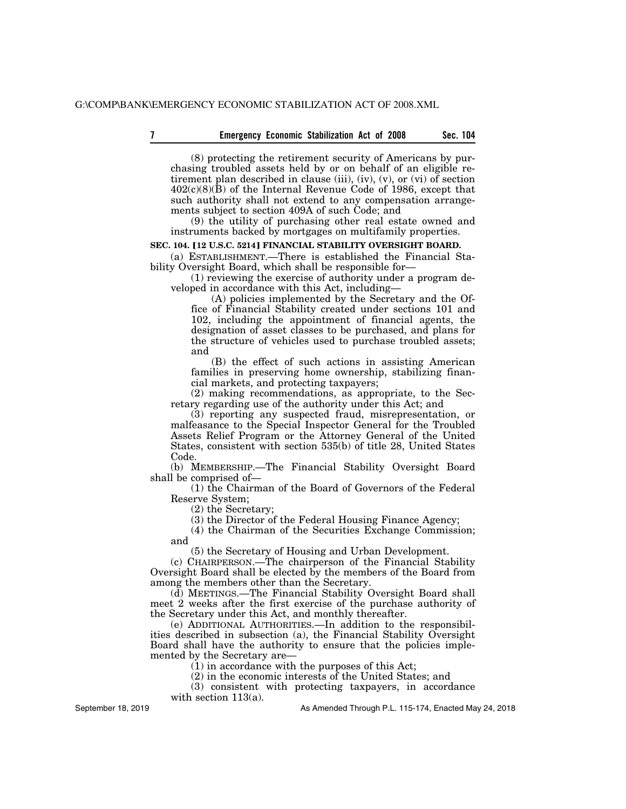#### **7 Sec. 104 Emergency Economic Stabilization Act of 2008**

(8) protecting the retirement security of Americans by purchasing troubled assets held by or on behalf of an eligible retirement plan described in clause (iii), (iv),  $(v)$ , or  $(vi)$  of section  $402(c)(8)(B)$  of the Internal Revenue Code of 1986, except that such authority shall not extend to any compensation arrangements subject to section 409A of such Code; and

(9) the utility of purchasing other real estate owned and instruments backed by mortgages on multifamily properties.

#### **SEC. 104. [12 U.S.C. 5214] FINANCIAL STABILITY OVERSIGHT BOARD.**

(a) ESTABLISHMENT.—There is established the Financial Stability Oversight Board, which shall be responsible for—

(1) reviewing the exercise of authority under a program developed in accordance with this Act, including—

(A) policies implemented by the Secretary and the Office of Financial Stability created under sections 101 and 102, including the appointment of financial agents, the designation of asset classes to be purchased, and plans for the structure of vehicles used to purchase troubled assets; and

(B) the effect of such actions in assisting American families in preserving home ownership, stabilizing financial markets, and protecting taxpayers;

(2) making recommendations, as appropriate, to the Secretary regarding use of the authority under this Act; and

(3) reporting any suspected fraud, misrepresentation, or malfeasance to the Special Inspector General for the Troubled Assets Relief Program or the Attorney General of the United States, consistent with section 535(b) of title 28, United States Code.

(b) MEMBERSHIP.—The Financial Stability Oversight Board shall be comprised of—

(1) the Chairman of the Board of Governors of the Federal Reserve System;

(2) the Secretary;

(3) the Director of the Federal Housing Finance Agency;

(4) the Chairman of the Securities Exchange Commission; and

(5) the Secretary of Housing and Urban Development.

(c) CHAIRPERSON.—The chairperson of the Financial Stability Oversight Board shall be elected by the members of the Board from among the members other than the Secretary.

(d) MEETINGS.—The Financial Stability Oversight Board shall meet 2 weeks after the first exercise of the purchase authority of the Secretary under this Act, and monthly thereafter.

(e) ADDITIONAL AUTHORITIES.—In addition to the responsibilities described in subsection (a), the Financial Stability Oversight Board shall have the authority to ensure that the policies implemented by the Secretary are—

(1) in accordance with the purposes of this Act;

(2) in the economic interests of the United States; and

(3) consistent with protecting taxpayers, in accordance with section 113(a).

September 18, 2019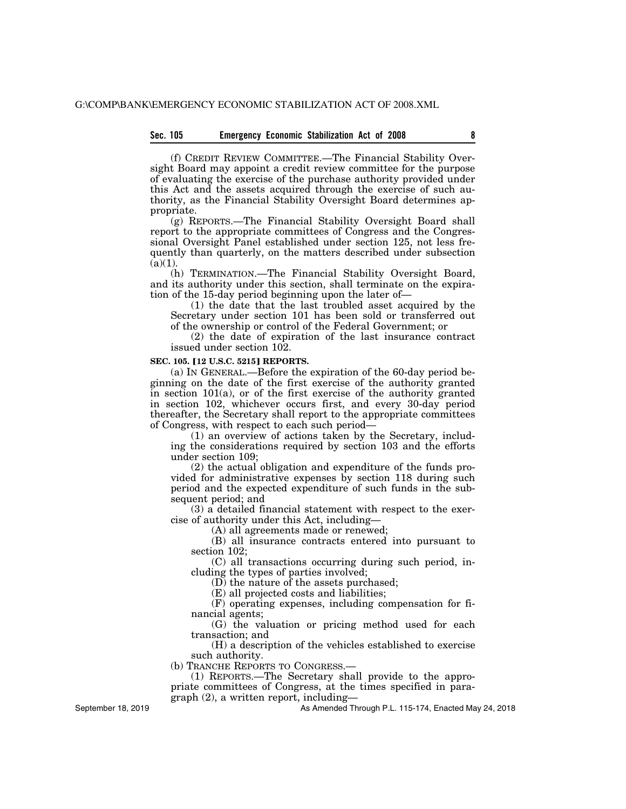# **Sec. 105 Emergency Economic Stabilization Act of 2008 8**

(f) CREDIT REVIEW COMMITTEE.—The Financial Stability Oversight Board may appoint a credit review committee for the purpose of evaluating the exercise of the purchase authority provided under this Act and the assets acquired through the exercise of such authority, as the Financial Stability Oversight Board determines appropriate.

(g) REPORTS.—The Financial Stability Oversight Board shall report to the appropriate committees of Congress and the Congressional Oversight Panel established under section 125, not less frequently than quarterly, on the matters described under subsection  $(a)(1)$ .

(h) TERMINATION.—The Financial Stability Oversight Board, and its authority under this section, shall terminate on the expiration of the 15-day period beginning upon the later of—

(1) the date that the last troubled asset acquired by the Secretary under section 101 has been sold or transferred out of the ownership or control of the Federal Government; or

(2) the date of expiration of the last insurance contract issued under section 102.

#### **SEC. 105. [12 U.S.C. 5215] REPORTS.**

(a) IN GENERAL.—Before the expiration of the 60-day period beginning on the date of the first exercise of the authority granted in section 101(a), or of the first exercise of the authority granted in section 102, whichever occurs first, and every 30-day period thereafter, the Secretary shall report to the appropriate committees of Congress, with respect to each such period—

(1) an overview of actions taken by the Secretary, including the considerations required by section 103 and the efforts under section 109;

(2) the actual obligation and expenditure of the funds provided for administrative expenses by section 118 during such period and the expected expenditure of such funds in the subsequent period; and

(3) a detailed financial statement with respect to the exercise of authority under this Act, including—

(A) all agreements made or renewed;

(B) all insurance contracts entered into pursuant to section 102;

(C) all transactions occurring during such period, including the types of parties involved;

(D) the nature of the assets purchased;

(E) all projected costs and liabilities;

(F) operating expenses, including compensation for financial agents;

(G) the valuation or pricing method used for each transaction; and

(H) a description of the vehicles established to exercise such authority.

(b) TRANCHE REPORTS TO CONGRESS.—

(1) REPORTS.—The Secretary shall provide to the appropriate committees of Congress, at the times specified in paragraph (2), a written report, including—

September 18, 2019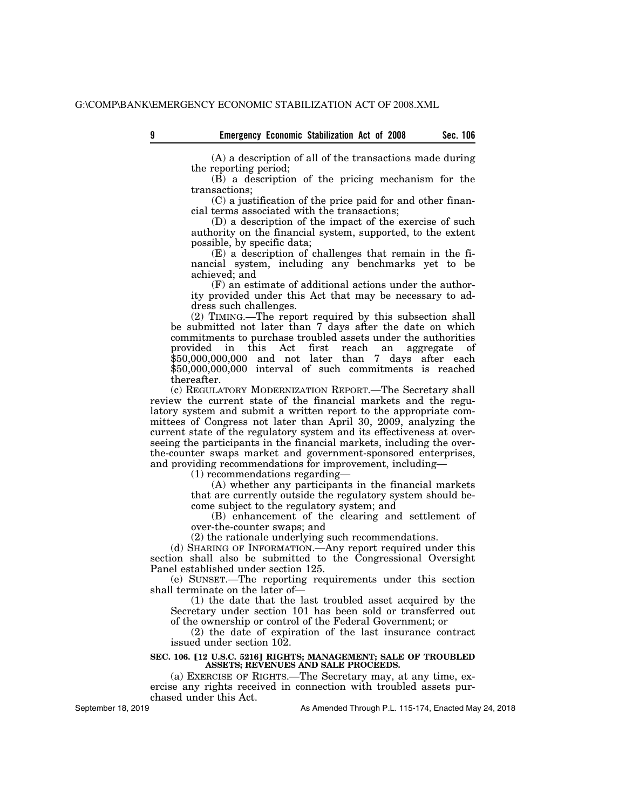(A) a description of all of the transactions made during the reporting period;

 $(\vec{B})$  a description of the pricing mechanism for the transactions;

(C) a justification of the price paid for and other financial terms associated with the transactions;

(D) a description of the impact of the exercise of such authority on the financial system, supported, to the extent possible, by specific data;

(E) a description of challenges that remain in the financial system, including any benchmarks yet to be achieved; and

(F) an estimate of additional actions under the authority provided under this Act that may be necessary to address such challenges.

(2) TIMING.—The report required by this subsection shall be submitted not later than 7 days after the date on which commitments to purchase troubled assets under the authorities provided in this Act first reach an aggregate of \$50,000,000,000 and not later than 7 days after each \$50,000,000,000 interval of such commitments is reached thereafter.

(c) REGULATORY MODERNIZATION REPORT.—The Secretary shall review the current state of the financial markets and the regulatory system and submit a written report to the appropriate committees of Congress not later than April 30, 2009, analyzing the current state of the regulatory system and its effectiveness at overseeing the participants in the financial markets, including the overthe-counter swaps market and government-sponsored enterprises, and providing recommendations for improvement, including—

(1) recommendations regarding—

(A) whether any participants in the financial markets that are currently outside the regulatory system should become subject to the regulatory system; and

(B) enhancement of the clearing and settlement of over-the-counter swaps; and

(2) the rationale underlying such recommendations.

(d) SHARING OF INFORMATION.—Any report required under this section shall also be submitted to the Congressional Oversight Panel established under section 125.

(e) SUNSET.—The reporting requirements under this section shall terminate on the later of—

(1) the date that the last troubled asset acquired by the Secretary under section 101 has been sold or transferred out of the ownership or control of the Federal Government; or

(2) the date of expiration of the last insurance contract issued under section 102.

#### **SEC. 106. [12 U.S.C. 5216] RIGHTS; MANAGEMENT; SALE OF TROUBLED ASSETS; REVENUES AND SALE PROCEEDS.**

(a) EXERCISE OF RIGHTS.—The Secretary may, at any time, exercise any rights received in connection with troubled assets purchased under this Act.

September 18, 2019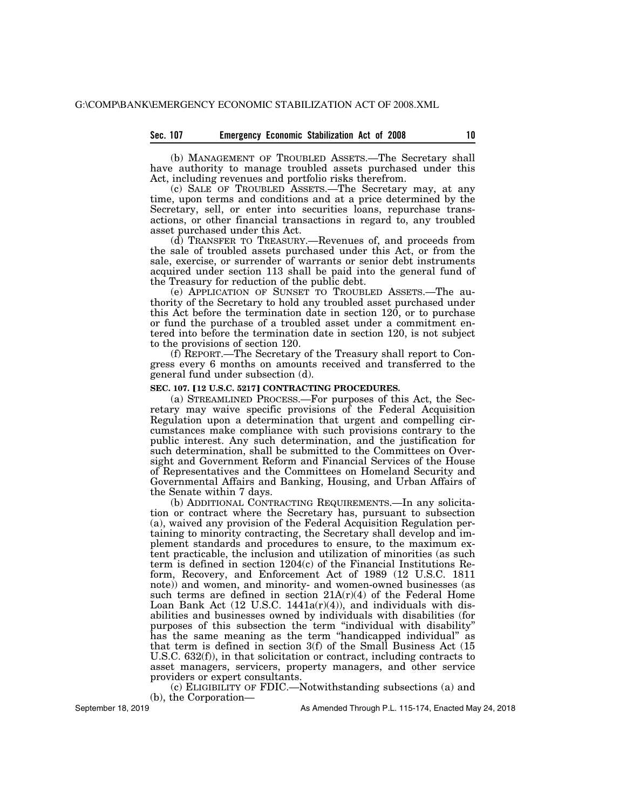# **Sec. 107 Emergency Economic Stabilization Act of 2008 10**

(b) MANAGEMENT OF TROUBLED ASSETS.—The Secretary shall have authority to manage troubled assets purchased under this Act, including revenues and portfolio risks therefrom.

(c) SALE OF TROUBLED ASSETS.—The Secretary may, at any time, upon terms and conditions and at a price determined by the Secretary, sell, or enter into securities loans, repurchase transactions, or other financial transactions in regard to, any troubled asset purchased under this Act.

(d) TRANSFER TO TREASURY.—Revenues of, and proceeds from the sale of troubled assets purchased under this Act, or from the sale, exercise, or surrender of warrants or senior debt instruments acquired under section 113 shall be paid into the general fund of the Treasury for reduction of the public debt.

(e) APPLICATION OF SUNSET TO TROUBLED ASSETS.—The authority of the Secretary to hold any troubled asset purchased under this Act before the termination date in section 120, or to purchase or fund the purchase of a troubled asset under a commitment entered into before the termination date in section 120, is not subject to the provisions of section 120.

(f) REPORT.—The Secretary of the Treasury shall report to Congress every 6 months on amounts received and transferred to the general fund under subsection (d).

#### **SEC. 107. [12 U.S.C. 5217] CONTRACTING PROCEDURES.**

(a) STREAMLINED PROCESS.—For purposes of this Act, the Secretary may waive specific provisions of the Federal Acquisition Regulation upon a determination that urgent and compelling circumstances make compliance with such provisions contrary to the public interest. Any such determination, and the justification for such determination, shall be submitted to the Committees on Oversight and Government Reform and Financial Services of the House of Representatives and the Committees on Homeland Security and Governmental Affairs and Banking, Housing, and Urban Affairs of the Senate within 7 days.

(b) ADDITIONAL CONTRACTING REQUIREMENTS.—In any solicitation or contract where the Secretary has, pursuant to subsection (a), waived any provision of the Federal Acquisition Regulation pertaining to minority contracting, the Secretary shall develop and implement standards and procedures to ensure, to the maximum extent practicable, the inclusion and utilization of minorities (as such term is defined in section 1204(c) of the Financial Institutions Reform, Recovery, and Enforcement Act of 1989 (12 U.S.C. 1811 note)) and women, and minority- and women-owned businesses (as such terms are defined in section  $21A(r)(4)$  of the Federal Home Loan Bank Act  $(12 \text{ U.S.C. } 1441a(r)(4))$ , and individuals with disabilities and businesses owned by individuals with disabilities (for purposes of this subsection the term ''individual with disability'' has the same meaning as the term ''handicapped individual'' as that term is defined in section 3(f) of the Small Business Act (15 U.S.C. 632(f)), in that solicitation or contract, including contracts to asset managers, servicers, property managers, and other service providers or expert consultants.

(c) ELIGIBILITY OF FDIC.—Notwithstanding subsections (a) and (b), the Corporation—

September 18, 2019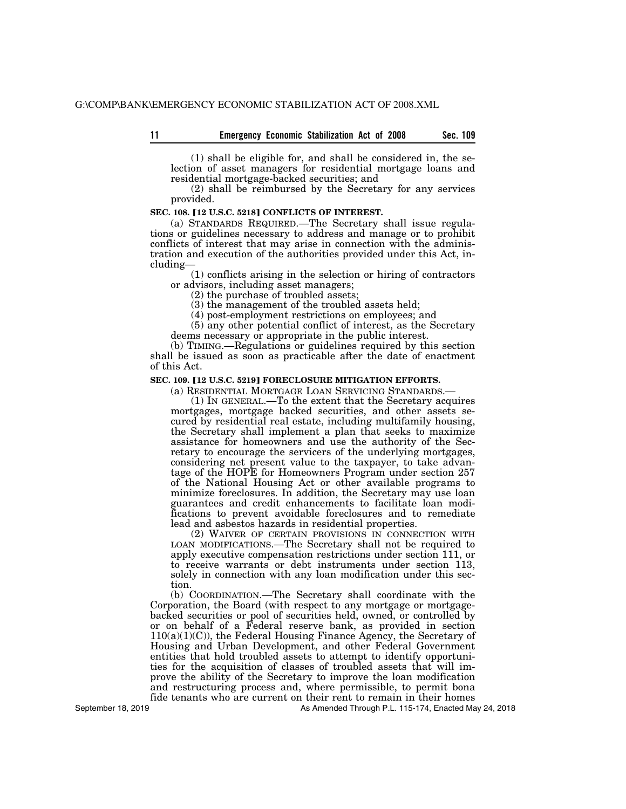| 11 |  | Emergency Economic Stabilization Act of 2008 |  |  | Sec. 109 |  |
|----|--|----------------------------------------------|--|--|----------|--|
|----|--|----------------------------------------------|--|--|----------|--|

(1) shall be eligible for, and shall be considered in, the selection of asset managers for residential mortgage loans and residential mortgage-backed securities; and

(2) shall be reimbursed by the Secretary for any services provided.

#### **SEC. 108. [12 U.S.C. 5218] CONFLICTS OF INTEREST.**

(a) STANDARDS REQUIRED.—The Secretary shall issue regulations or guidelines necessary to address and manage or to prohibit conflicts of interest that may arise in connection with the administration and execution of the authorities provided under this Act, including—

(1) conflicts arising in the selection or hiring of contractors or advisors, including asset managers;

(2) the purchase of troubled assets;

(3) the management of the troubled assets held;

(4) post-employment restrictions on employees; and

(5) any other potential conflict of interest, as the Secretary deems necessary or appropriate in the public interest.

(b) TIMING.—Regulations or guidelines required by this section shall be issued as soon as practicable after the date of enactment of this Act.

#### **SEC. 109. [12 U.S.C. 5219] FORECLOSURE MITIGATION EFFORTS.**

(a) RESIDENTIAL MORTGAGE LOAN SERVICING STANDARDS.—

(1) IN GENERAL.—To the extent that the Secretary acquires mortgages, mortgage backed securities, and other assets secured by residential real estate, including multifamily housing, the Secretary shall implement a plan that seeks to maximize assistance for homeowners and use the authority of the Secretary to encourage the servicers of the underlying mortgages, considering net present value to the taxpayer, to take advantage of the HOPE for Homeowners Program under section 257 of the National Housing Act or other available programs to minimize foreclosures. In addition, the Secretary may use loan guarantees and credit enhancements to facilitate loan modifications to prevent avoidable foreclosures and to remediate lead and asbestos hazards in residential properties.

(2) WAIVER OF CERTAIN PROVISIONS IN CONNECTION WITH LOAN MODIFICATIONS.—The Secretary shall not be required to apply executive compensation restrictions under section 111, or to receive warrants or debt instruments under section 113, solely in connection with any loan modification under this section.

(b) COORDINATION.—The Secretary shall coordinate with the Corporation, the Board (with respect to any mortgage or mortgagebacked securities or pool of securities held, owned, or controlled by or on behalf of a Federal reserve bank, as provided in section 110(a)(1)(C)), the Federal Housing Finance Agency, the Secretary of Housing and Urban Development, and other Federal Government entities that hold troubled assets to attempt to identify opportunities for the acquisition of classes of troubled assets that will improve the ability of the Secretary to improve the loan modification and restructuring process and, where permissible, to permit bona fide tenants who are current on their rent to remain in their homes

September 18, 2019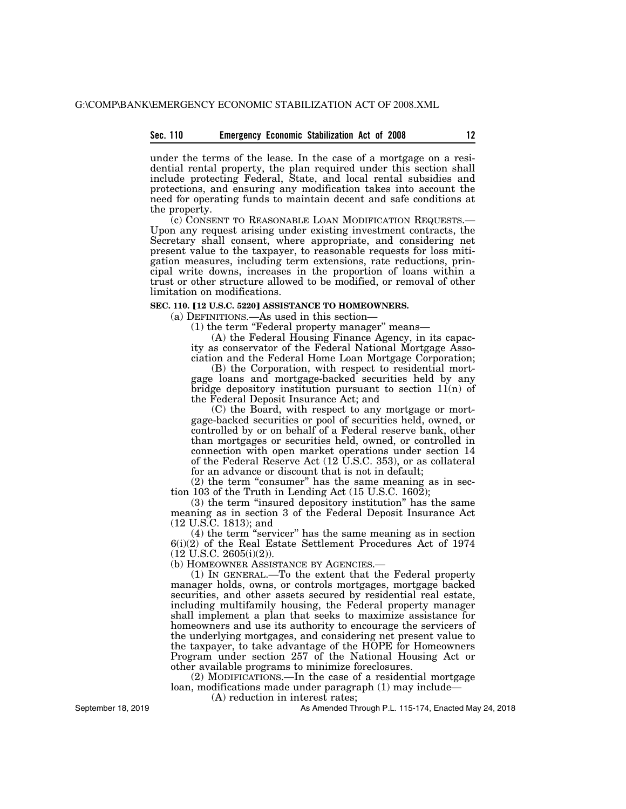# **Sec. 110 Emergency Economic Stabilization Act of 2008 12**

under the terms of the lease. In the case of a mortgage on a residential rental property, the plan required under this section shall include protecting Federal, State, and local rental subsidies and protections, and ensuring any modification takes into account the need for operating funds to maintain decent and safe conditions at the property.

(c) CONSENT TO REASONABLE LOAN MODIFICATION REQUESTS.— Upon any request arising under existing investment contracts, the Secretary shall consent, where appropriate, and considering net present value to the taxpayer, to reasonable requests for loss mitigation measures, including term extensions, rate reductions, principal write downs, increases in the proportion of loans within a trust or other structure allowed to be modified, or removal of other limitation on modifications.

# **SEC. 110. [12 U.S.C. 5220] ASSISTANCE TO HOMEOWNERS.**

(a) DEFINITIONS.—As used in this section—

(1) the term ''Federal property manager'' means—

(A) the Federal Housing Finance Agency, in its capacity as conservator of the Federal National Mortgage Association and the Federal Home Loan Mortgage Corporation;

(B) the Corporation, with respect to residential mortgage loans and mortgage-backed securities held by any bridge depository institution pursuant to section  $11(n)$  of the Federal Deposit Insurance Act; and

(C) the Board, with respect to any mortgage or mortgage-backed securities or pool of securities held, owned, or controlled by or on behalf of a Federal reserve bank, other than mortgages or securities held, owned, or controlled in connection with open market operations under section 14 of the Federal Reserve Act (12 U.S.C. 353), or as collateral for an advance or discount that is not in default;

 $(2)$  the term "consumer" has the same meaning as in section 103 of the Truth in Lending Act (15 U.S.C. 1602);

(3) the term ''insured depository institution'' has the same meaning as in section 3 of the Federal Deposit Insurance Act (12 U.S.C. 1813); and

(4) the term ''servicer'' has the same meaning as in section 6(i)(2) of the Real Estate Settlement Procedures Act of 1974  $(12 \text{ U.S.C. } 2605(i)(2)).$ 

(b) HOMEOWNER ASSISTANCE BY AGENCIES.—

(1) IN GENERAL.—To the extent that the Federal property manager holds, owns, or controls mortgages, mortgage backed securities, and other assets secured by residential real estate, including multifamily housing, the Federal property manager shall implement a plan that seeks to maximize assistance for homeowners and use its authority to encourage the servicers of the underlying mortgages, and considering net present value to the taxpayer, to take advantage of the HOPE for Homeowners Program under section 257 of the National Housing Act or other available programs to minimize foreclosures.

(2) MODIFICATIONS.—In the case of a residential mortgage loan, modifications made under paragraph (1) may include—

(A) reduction in interest rates;

As Amended Through P.L. 115-174, Enacted May 24, 2018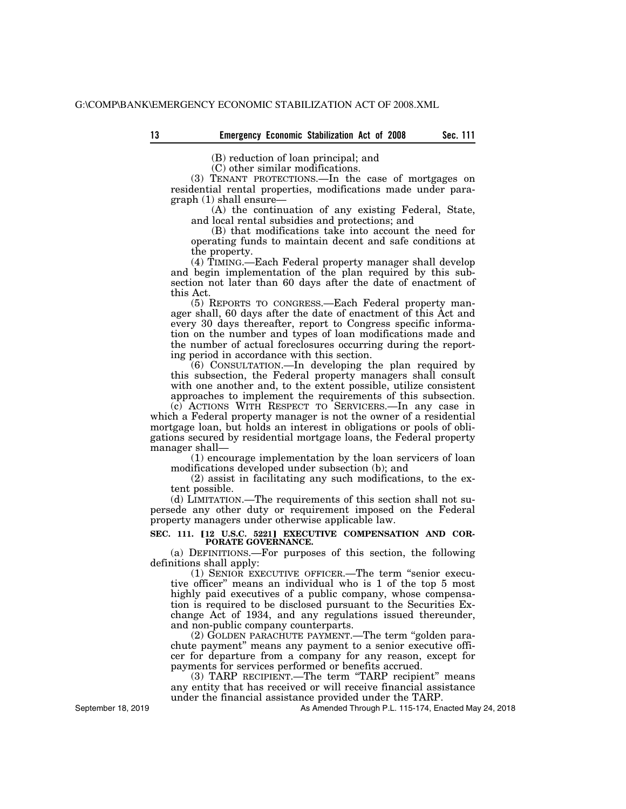(B) reduction of loan principal; and

(C) other similar modifications.

(3) TENANT PROTECTIONS.—In the case of mortgages on residential rental properties, modifications made under paragraph (1) shall ensure—

(A) the continuation of any existing Federal, State, and local rental subsidies and protections; and

(B) that modifications take into account the need for operating funds to maintain decent and safe conditions at the property.

(4) TIMING.—Each Federal property manager shall develop and begin implementation of the plan required by this subsection not later than 60 days after the date of enactment of this Act.

(5) REPORTS TO CONGRESS.—Each Federal property manager shall, 60 days after the date of enactment of this Act and every 30 days thereafter, report to Congress specific information on the number and types of loan modifications made and the number of actual foreclosures occurring during the reporting period in accordance with this section.

(6) CONSULTATION.—In developing the plan required by this subsection, the Federal property managers shall consult with one another and, to the extent possible, utilize consistent approaches to implement the requirements of this subsection.

(c) ACTIONS WITH RESPECT TO SERVICERS.—In any case in which a Federal property manager is not the owner of a residential mortgage loan, but holds an interest in obligations or pools of obligations secured by residential mortgage loans, the Federal property manager shall—

(1) encourage implementation by the loan servicers of loan modifications developed under subsection (b); and

(2) assist in facilitating any such modifications, to the extent possible.

(d) LIMITATION.—The requirements of this section shall not supersede any other duty or requirement imposed on the Federal property managers under otherwise applicable law.

#### SEC. 111. [12 U.S.C. 5221] EXECUTIVE COMPENSATION AND COR-**PORATE GOVERNANCE.**

(a) DEFINITIONS.—For purposes of this section, the following definitions shall apply:

(1) SENIOR EXECUTIVE OFFICER.—The term ''senior executive officer'' means an individual who is 1 of the top 5 most highly paid executives of a public company, whose compensation is required to be disclosed pursuant to the Securities Exchange Act of 1934, and any regulations issued thereunder, and non-public company counterparts.

(2) GOLDEN PARACHUTE PAYMENT.—The term ''golden parachute payment'' means any payment to a senior executive officer for departure from a company for any reason, except for payments for services performed or benefits accrued.

(3) TARP RECIPIENT.—The term "TARP recipient" means any entity that has received or will receive financial assistance under the financial assistance provided under the TARP.

As Amended Through P.L. 115-174, Enacted May 24, 2018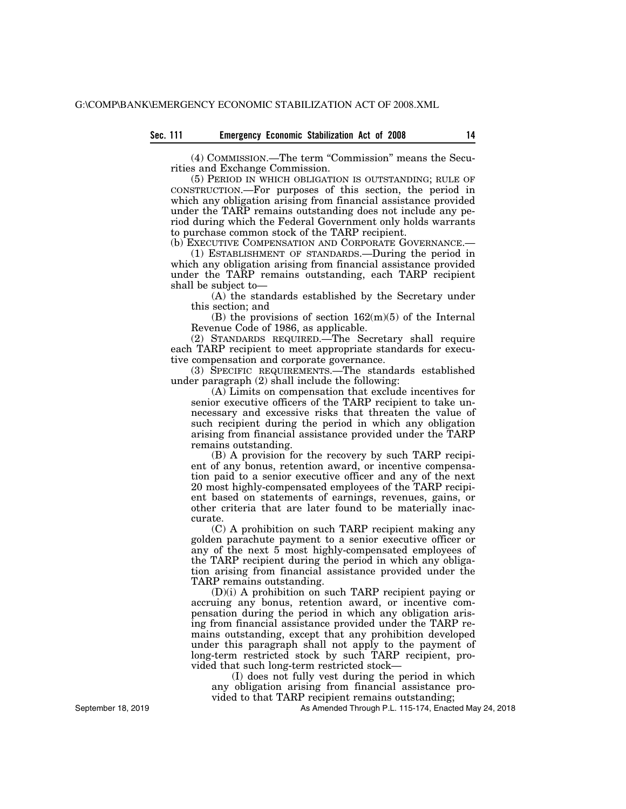# **Sec. 111 Emergency Economic Stabilization Act of 2008 14**

(4) COMMISSION.—The term ''Commission'' means the Securities and Exchange Commission.

(5) PERIOD IN WHICH OBLIGATION IS OUTSTANDING; RULE OF CONSTRUCTION.—For purposes of this section, the period in which any obligation arising from financial assistance provided under the TARP remains outstanding does not include any period during which the Federal Government only holds warrants to purchase common stock of the TARP recipient.

(b) EXECUTIVE COMPENSATION AND CORPORATE GOVERNANCE.— (1) ESTABLISHMENT OF STANDARDS.—During the period in which any obligation arising from financial assistance provided under the TARP remains outstanding, each TARP recipient shall be subject to—

(A) the standards established by the Secretary under this section; and

(B) the provisions of section  $162(m)(5)$  of the Internal Revenue Code of 1986, as applicable.

(2) STANDARDS REQUIRED.—The Secretary shall require each TARP recipient to meet appropriate standards for executive compensation and corporate governance.

(3) SPECIFIC REQUIREMENTS.—The standards established under paragraph (2) shall include the following:

(A) Limits on compensation that exclude incentives for senior executive officers of the TARP recipient to take unnecessary and excessive risks that threaten the value of such recipient during the period in which any obligation arising from financial assistance provided under the TARP remains outstanding.

(B) A provision for the recovery by such TARP recipient of any bonus, retention award, or incentive compensation paid to a senior executive officer and any of the next 20 most highly-compensated employees of the TARP recipient based on statements of earnings, revenues, gains, or other criteria that are later found to be materially inaccurate.

(C) A prohibition on such TARP recipient making any golden parachute payment to a senior executive officer or any of the next 5 most highly-compensated employees of the TARP recipient during the period in which any obligation arising from financial assistance provided under the TARP remains outstanding.

(D)(i) A prohibition on such TARP recipient paying or accruing any bonus, retention award, or incentive compensation during the period in which any obligation arising from financial assistance provided under the TARP remains outstanding, except that any prohibition developed under this paragraph shall not apply to the payment of long-term restricted stock by such TARP recipient, provided that such long-term restricted stock—

(I) does not fully vest during the period in which any obligation arising from financial assistance provided to that TARP recipient remains outstanding;

As Amended Through P.L. 115-174, Enacted May 24, 2018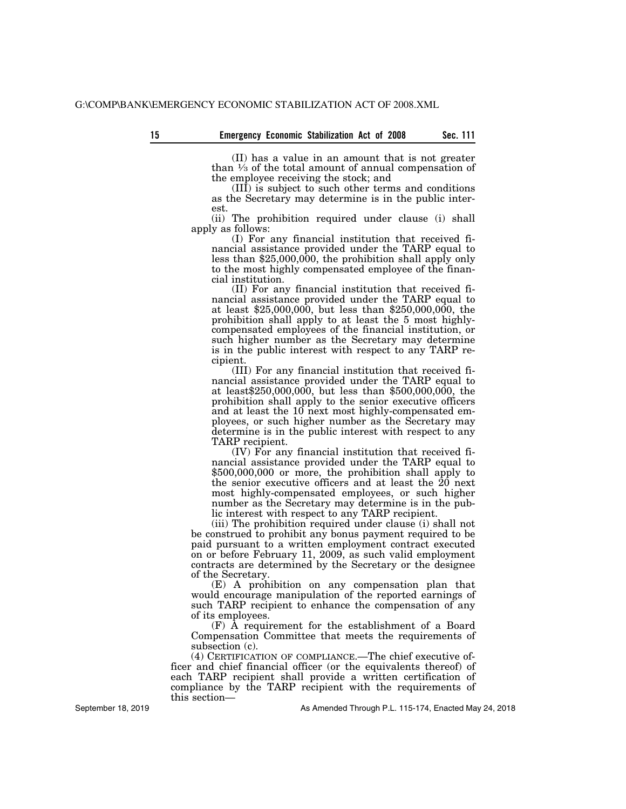(II) has a value in an amount that is not greater than  $\frac{1}{3}$  of the total amount of annual compensation of the employee receiving the stock; and

(III) is subject to such other terms and conditions as the Secretary may determine is in the public interest.

(ii) The prohibition required under clause (i) shall apply as follows:

(I) For any financial institution that received financial assistance provided under the TARP equal to less than \$25,000,000, the prohibition shall apply only to the most highly compensated employee of the financial institution.

(II) For any financial institution that received financial assistance provided under the TARP equal to at least \$25,000,000, but less than \$250,000,000, the prohibition shall apply to at least the 5 most highlycompensated employees of the financial institution, or such higher number as the Secretary may determine is in the public interest with respect to any TARP recipient.

(III) For any financial institution that received financial assistance provided under the TARP equal to at least\$250,000,000, but less than \$500,000,000, the prohibition shall apply to the senior executive officers and at least the 10 next most highly-compensated employees, or such higher number as the Secretary may determine is in the public interest with respect to any TARP recipient.

(IV) For any financial institution that received financial assistance provided under the TARP equal to \$500,000,000 or more, the prohibition shall apply to the senior executive officers and at least the 20 next most highly-compensated employees, or such higher number as the Secretary may determine is in the public interest with respect to any TARP recipient.

(iii) The prohibition required under clause (i) shall not be construed to prohibit any bonus payment required to be paid pursuant to a written employment contract executed on or before February 11, 2009, as such valid employment contracts are determined by the Secretary or the designee of the Secretary.

(E) A prohibition on any compensation plan that would encourage manipulation of the reported earnings of such TARP recipient to enhance the compensation of any of its employees.

(F) A requirement for the establishment of a Board Compensation Committee that meets the requirements of subsection (c).

(4) CERTIFICATION OF COMPLIANCE.—The chief executive officer and chief financial officer (or the equivalents thereof) of each TARP recipient shall provide a written certification of compliance by the TARP recipient with the requirements of this section—

September 18, 2019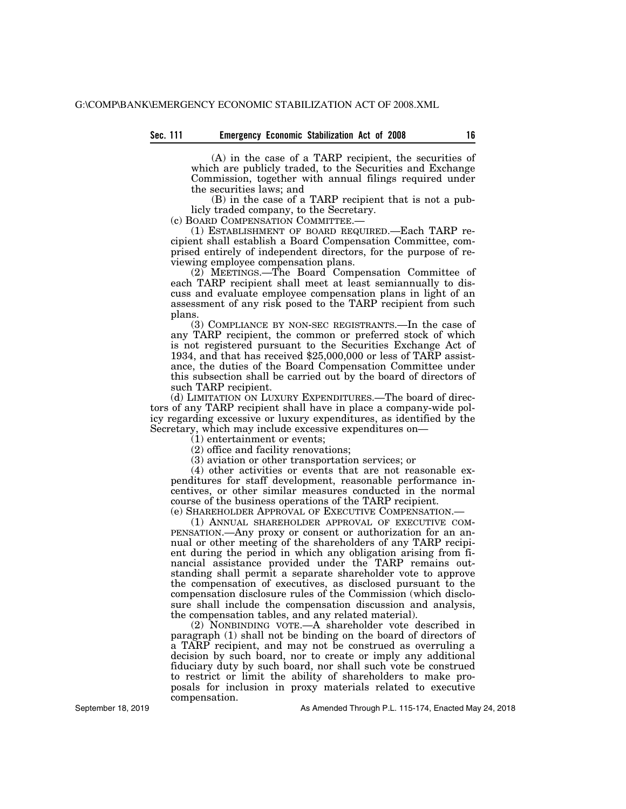(A) in the case of a TARP recipient, the securities of which are publicly traded, to the Securities and Exchange Commission, together with annual filings required under the securities laws; and

(B) in the case of a TARP recipient that is not a publicly traded company, to the Secretary.

(c) BOARD COMPENSATION COMMITTEE.—

(1) ESTABLISHMENT OF BOARD REQUIRED.—Each TARP recipient shall establish a Board Compensation Committee, comprised entirely of independent directors, for the purpose of reviewing employee compensation plans.

(2) MEETINGS.—The Board Compensation Committee of each TARP recipient shall meet at least semiannually to discuss and evaluate employee compensation plans in light of an assessment of any risk posed to the TARP recipient from such plans.

(3) COMPLIANCE BY NON-SEC REGISTRANTS.—In the case of any TARP recipient, the common or preferred stock of which is not registered pursuant to the Securities Exchange Act of 1934, and that has received \$25,000,000 or less of TARP assistance, the duties of the Board Compensation Committee under this subsection shall be carried out by the board of directors of such TARP recipient.

(d) LIMITATION ON LUXURY EXPENDITURES.—The board of directors of any TARP recipient shall have in place a company-wide policy regarding excessive or luxury expenditures, as identified by the Secretary, which may include excessive expenditures on—

(1) entertainment or events;

(2) office and facility renovations;

(3) aviation or other transportation services; or

(4) other activities or events that are not reasonable expenditures for staff development, reasonable performance incentives, or other similar measures conducted in the normal course of the business operations of the TARP recipient.

(e) SHAREHOLDER APPROVAL OF EXECUTIVE COMPENSATION.—

(1) ANNUAL SHAREHOLDER APPROVAL OF EXECUTIVE COM-PENSATION.—Any proxy or consent or authorization for an annual or other meeting of the shareholders of any TARP recipient during the period in which any obligation arising from financial assistance provided under the TARP remains outstanding shall permit a separate shareholder vote to approve the compensation of executives, as disclosed pursuant to the compensation disclosure rules of the Commission (which disclosure shall include the compensation discussion and analysis, the compensation tables, and any related material).

(2) NONBINDING VOTE.—A shareholder vote described in paragraph (1) shall not be binding on the board of directors of a TARP recipient, and may not be construed as overruling a decision by such board, nor to create or imply any additional fiduciary duty by such board, nor shall such vote be construed to restrict or limit the ability of shareholders to make proposals for inclusion in proxy materials related to executive compensation.

September 18, 2019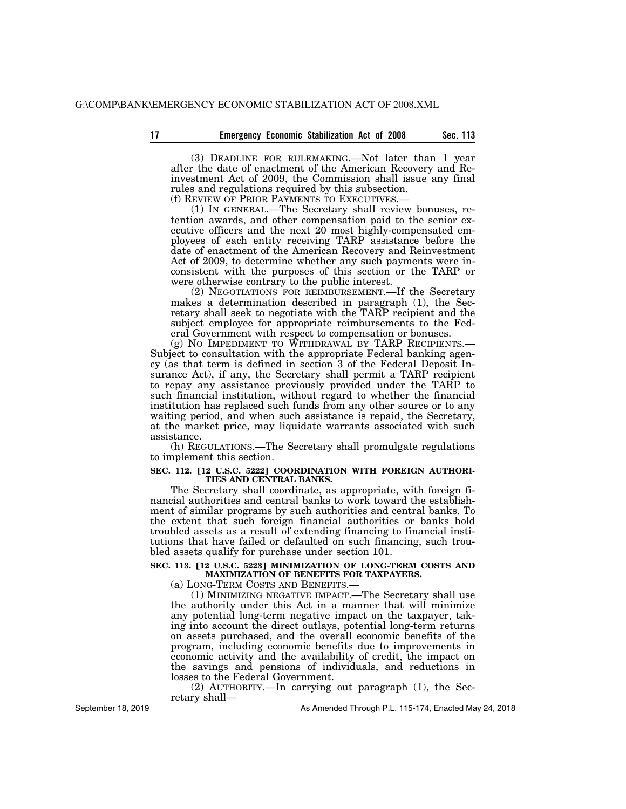(3) DEADLINE FOR RULEMAKING.—Not later than 1 year after the date of enactment of the American Recovery and Reinvestment Act of 2009, the Commission shall issue any final rules and regulations required by this subsection.

(f) REVIEW OF PRIOR PAYMENTS TO EXECUTIVES.—

(1) IN GENERAL.—The Secretary shall review bonuses, retention awards, and other compensation paid to the senior executive officers and the next 20 most highly-compensated employees of each entity receiving TARP assistance before the date of enactment of the American Recovery and Reinvestment Act of 2009, to determine whether any such payments were inconsistent with the purposes of this section or the TARP or were otherwise contrary to the public interest.

(2) NEGOTIATIONS FOR REIMBURSEMENT.—If the Secretary makes a determination described in paragraph (1), the Secretary shall seek to negotiate with the TARP recipient and the subject employee for appropriate reimbursements to the Federal Government with respect to compensation or bonuses.

(g) NO IMPEDIMENT TO WITHDRAWAL BY TARP RECIPIENTS.— Subject to consultation with the appropriate Federal banking agency (as that term is defined in section 3 of the Federal Deposit Insurance Act), if any, the Secretary shall permit a TARP recipient to repay any assistance previously provided under the TARP to such financial institution, without regard to whether the financial institution has replaced such funds from any other source or to any waiting period, and when such assistance is repaid, the Secretary, at the market price, may liquidate warrants associated with such assistance.

(h) REGULATIONS.—The Secretary shall promulgate regulations to implement this section.

#### SEC. 112. [12 U.S.C. 5222] COORDINATION WITH FOREIGN AUTHORI-**TIES AND CENTRAL BANKS.**

The Secretary shall coordinate, as appropriate, with foreign financial authorities and central banks to work toward the establishment of similar programs by such authorities and central banks. To the extent that such foreign financial authorities or banks hold troubled assets as a result of extending financing to financial institutions that have failed or defaulted on such financing, such troubled assets qualify for purchase under section 101.

# **SEC. 113. [12 U.S.C. 5223] MINIMIZATION OF LONG-TERM COSTS AND MAXIMIZATION OF BENEFITS FOR TAXPAYERS.**

(a) LONG-TERM COSTS AND BENEFITS.—

(1) MINIMIZING NEGATIVE IMPACT.—The Secretary shall use the authority under this Act in a manner that will minimize any potential long-term negative impact on the taxpayer, taking into account the direct outlays, potential long-term returns on assets purchased, and the overall economic benefits of the program, including economic benefits due to improvements in economic activity and the availability of credit, the impact on the savings and pensions of individuals, and reductions in losses to the Federal Government.

(2) AUTHORITY.—In carrying out paragraph (1), the Secretary shall—

September 18, 2019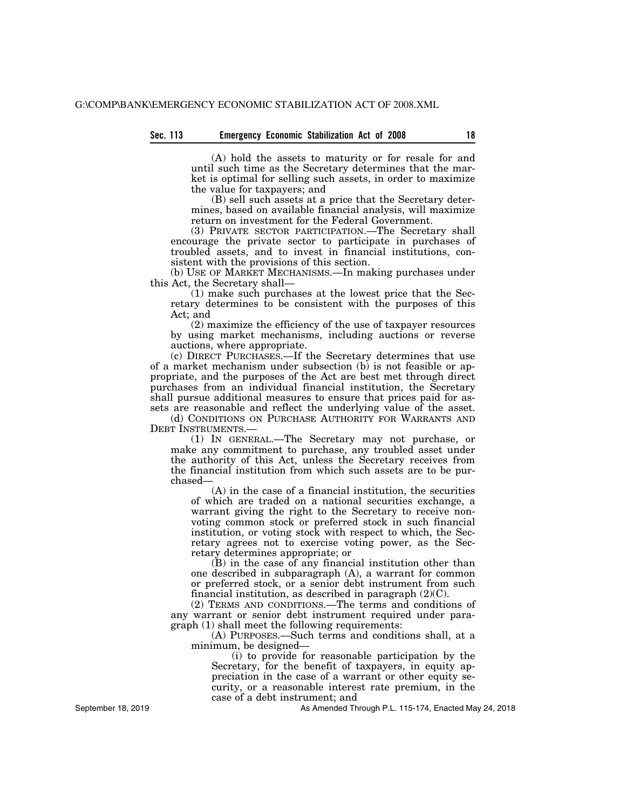#### **Sec. 113 Emergency Economic Stabilization Act of 2008 18**

(A) hold the assets to maturity or for resale for and until such time as the Secretary determines that the market is optimal for selling such assets, in order to maximize the value for taxpayers; and

(B) sell such assets at a price that the Secretary determines, based on available financial analysis, will maximize return on investment for the Federal Government.

(3) PRIVATE SECTOR PARTICIPATION.—The Secretary shall encourage the private sector to participate in purchases of troubled assets, and to invest in financial institutions, consistent with the provisions of this section.

(b) USE OF MARKET MECHANISMS.—In making purchases under this Act, the Secretary shall—

(1) make such purchases at the lowest price that the Secretary determines to be consistent with the purposes of this Act; and

(2) maximize the efficiency of the use of taxpayer resources by using market mechanisms, including auctions or reverse auctions, where appropriate.

(c) DIRECT PURCHASES.—If the Secretary determines that use of a market mechanism under subsection (b) is not feasible or appropriate, and the purposes of the Act are best met through direct purchases from an individual financial institution, the Secretary shall pursue additional measures to ensure that prices paid for assets are reasonable and reflect the underlying value of the asset.

(d) CONDITIONS ON PURCHASE AUTHORITY FOR WARRANTS AND DEBT INSTRUMENTS.—

(1) IN GENERAL.—The Secretary may not purchase, or make any commitment to purchase, any troubled asset under the authority of this Act, unless the Secretary receives from the financial institution from which such assets are to be purchased—

(A) in the case of a financial institution, the securities of which are traded on a national securities exchange, a warrant giving the right to the Secretary to receive nonvoting common stock or preferred stock in such financial institution, or voting stock with respect to which, the Secretary agrees not to exercise voting power, as the Secretary determines appropriate; or

(B) in the case of any financial institution other than one described in subparagraph (A), a warrant for common or preferred stock, or a senior debt instrument from such financial institution, as described in paragraph (2)(C).

(2) TERMS AND CONDITIONS.—The terms and conditions of any warrant or senior debt instrument required under paragraph (1) shall meet the following requirements:

(A) PURPOSES.—Such terms and conditions shall, at a minimum, be designed—

(i) to provide for reasonable participation by the Secretary, for the benefit of taxpayers, in equity appreciation in the case of a warrant or other equity security, or a reasonable interest rate premium, in the case of a debt instrument; and

As Amended Through P.L. 115-174, Enacted May 24, 2018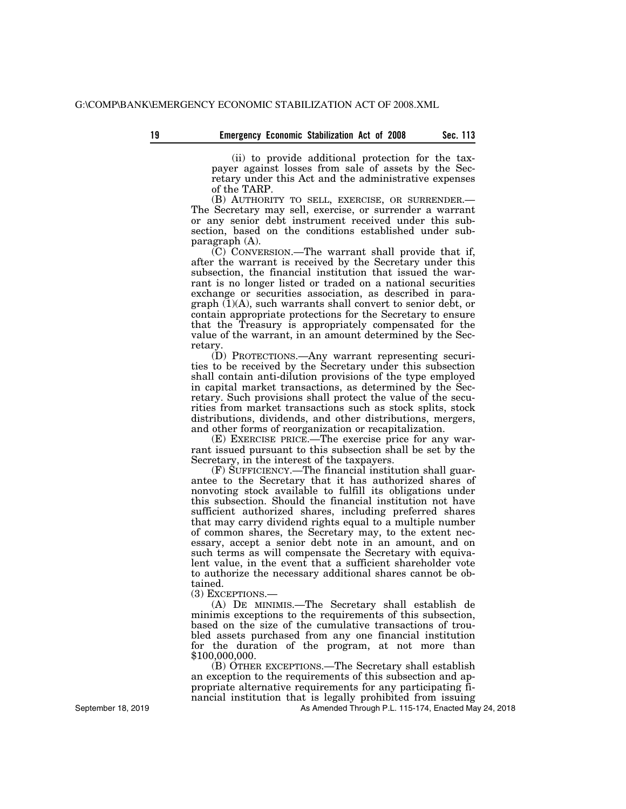(ii) to provide additional protection for the taxpayer against losses from sale of assets by the Secretary under this Act and the administrative expenses of the TARP.

(B) AUTHORITY TO SELL, EXERCISE, OR SURRENDER.— The Secretary may sell, exercise, or surrender a warrant or any senior debt instrument received under this subsection, based on the conditions established under subparagraph (A).

(C) CONVERSION.—The warrant shall provide that if, after the warrant is received by the Secretary under this subsection, the financial institution that issued the warrant is no longer listed or traded on a national securities exchange or securities association, as described in paragraph (1)(A), such warrants shall convert to senior debt, or contain appropriate protections for the Secretary to ensure that the Treasury is appropriately compensated for the value of the warrant, in an amount determined by the Secretary.

(D) PROTECTIONS.—Any warrant representing securities to be received by the Secretary under this subsection shall contain anti-dilution provisions of the type employed in capital market transactions, as determined by the Secretary. Such provisions shall protect the value of the securities from market transactions such as stock splits, stock distributions, dividends, and other distributions, mergers, and other forms of reorganization or recapitalization.

(E) EXERCISE PRICE.—The exercise price for any warrant issued pursuant to this subsection shall be set by the Secretary, in the interest of the taxpayers.

(F) SUFFICIENCY.—The financial institution shall guarantee to the Secretary that it has authorized shares of nonvoting stock available to fulfill its obligations under this subsection. Should the financial institution not have sufficient authorized shares, including preferred shares that may carry dividend rights equal to a multiple number of common shares, the Secretary may, to the extent necessary, accept a senior debt note in an amount, and on such terms as will compensate the Secretary with equivalent value, in the event that a sufficient shareholder vote to authorize the necessary additional shares cannot be obtained.

(3) EXCEPTIONS.—

(A) DE MINIMIS.—The Secretary shall establish de minimis exceptions to the requirements of this subsection. based on the size of the cumulative transactions of troubled assets purchased from any one financial institution for the duration of the program, at not more than \$100,000,000.

(B) OTHER EXCEPTIONS.—The Secretary shall establish an exception to the requirements of this subsection and appropriate alternative requirements for any participating financial institution that is legally prohibited from issuing

As Amended Through P.L. 115-174, Enacted May 24, 2018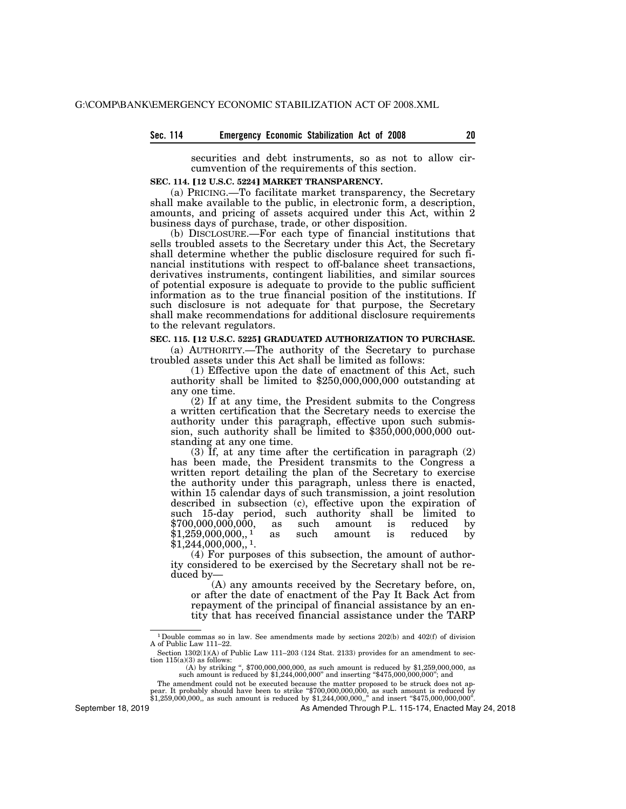# **Sec. 114 Emergency Economic Stabilization Act of 2008 20**

securities and debt instruments, so as not to allow circumvention of the requirements of this section.

# **SEC. 114. [12 U.S.C. 5224] MARKET TRANSPARENCY.**

(a) PRICING.—To facilitate market transparency, the Secretary shall make available to the public, in electronic form, a description, amounts, and pricing of assets acquired under this Act, within 2 business days of purchase, trade, or other disposition.

(b) DISCLOSURE.—For each type of financial institutions that sells troubled assets to the Secretary under this Act, the Secretary shall determine whether the public disclosure required for such financial institutions with respect to off-balance sheet transactions, derivatives instruments, contingent liabilities, and similar sources of potential exposure is adequate to provide to the public sufficient information as to the true financial position of the institutions. If such disclosure is not adequate for that purpose, the Secretary shall make recommendations for additional disclosure requirements to the relevant regulators.

# SEC. 115. [12 U.S.C. 5225] GRADUATED AUTHORIZATION TO PURCHASE.

(a) AUTHORITY.—The authority of the Secretary to purchase troubled assets under this Act shall be limited as follows:

(1) Effective upon the date of enactment of this Act, such authority shall be limited to \$250,000,000,000 outstanding at any one time.

(2) If at any time, the President submits to the Congress a written certification that the Secretary needs to exercise the authority under this paragraph, effective upon such submission, such authority shall be limited to \$350,000,000,000 outstanding at any one time.

(3) If, at any time after the certification in paragraph (2) has been made, the President transmits to the Congress a written report detailing the plan of the Secretary to exercise the authority under this paragraph, unless there is enacted, within 15 calendar days of such transmission, a joint resolution described in subsection (c), effective upon the expiration of such 15-day period, such authority shall be limited to \$700,000,000,000, as such amount is reduced by  $$1,259,000,000,1$  as such amount is reduced by  $$1,244,000,000,1$ .

(4) For purposes of this subsection, the amount of authority considered to be exercised by the Secretary shall not be reduced by—

(A) any amounts received by the Secretary before, on, or after the date of enactment of the Pay It Back Act from repayment of the principal of financial assistance by an entity that has received financial assistance under the TARP

September 18, 2019

<sup>1</sup>Double commas so in law. See amendments made by sections 202(b) and 402(f) of division A of Public Law 111–22.

Section  $1302(1)(A)$  of Public Law  $111-203$  (124 Stat. 2133) provides for an amendment to section  $115(a)(3)$  as follows:

<sup>(</sup>A)(3) as nonows:<br>(A) by striking ", \$700,000,000,000, as such amount is reduced by \$1,259,000,000, as such amount is reduced by \$1,244,000,000" and inserting "\$475,000,000,000"; and

The amendment could not be executed because the matter proposed to be struck does not appear. It probably should have been to strike "\$700,000,000,000, as such amount is reduced by \$1,244,000,000,, and insert "\$475,000,00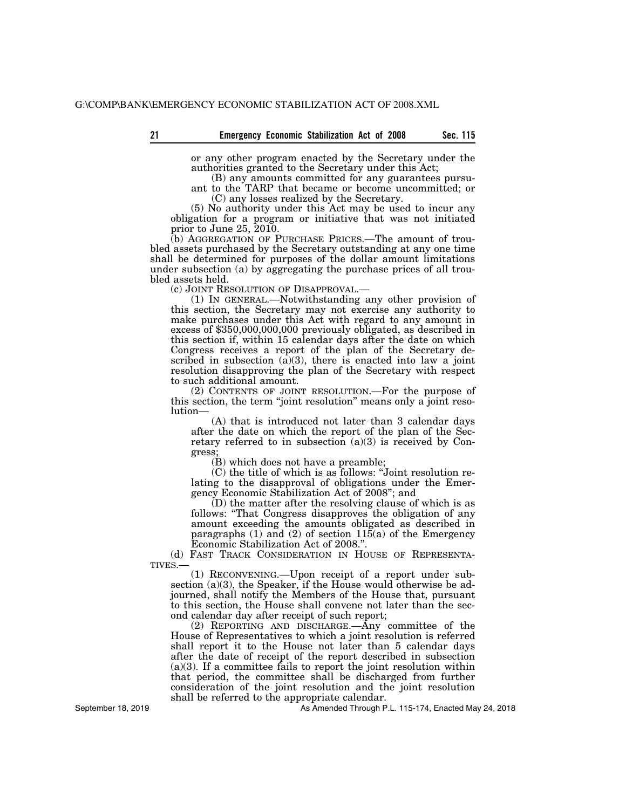or any other program enacted by the Secretary under the authorities granted to the Secretary under this Act;

(B) any amounts committed for any guarantees pursuant to the TARP that became or become uncommitted; or (C) any losses realized by the Secretary.

(5) No authority under this Act may be used to incur any obligation for a program or initiative that was not initiated prior to June 25, 2010.

(b) AGGREGATION OF PURCHASE PRICES.—The amount of troubled assets purchased by the Secretary outstanding at any one time shall be determined for purposes of the dollar amount limitations under subsection (a) by aggregating the purchase prices of all troubled assets held.<br>(c) JOINT RESOLUTION OF DISAPPROVAL.—

(1) IN GENERAL.—Notwithstanding any other provision of this section, the Secretary may not exercise any authority to make purchases under this Act with regard to any amount in excess of \$350,000,000,000 previously obligated, as described in this section if, within 15 calendar days after the date on which Congress receives a report of the plan of the Secretary described in subsection  $(a)(3)$ , there is enacted into law a joint resolution disapproving the plan of the Secretary with respect to such additional amount.

(2) CONTENTS OF JOINT RESOLUTION.—For the purpose of this section, the term ''joint resolution'' means only a joint resolution—

(A) that is introduced not later than 3 calendar days after the date on which the report of the plan of the Secretary referred to in subsection  $(a)(3)$  is received by Congress;

(B) which does not have a preamble;

(C) the title of which is as follows: ''Joint resolution relating to the disapproval of obligations under the Emergency Economic Stabilization Act of 2008''; and

(D) the matter after the resolving clause of which is as follows: ''That Congress disapproves the obligation of any amount exceeding the amounts obligated as described in paragraphs (1) and (2) of section  $11\overline{5}$ (a) of the Emergency Economic Stabilization Act of 2008."

(d) FAST TRACK CONSIDERATION IN HOUSE OF REPRESENTA-TIVES.—

(1) RECONVENING.—Upon receipt of a report under subsection (a)(3), the Speaker, if the House would otherwise be adjourned, shall notify the Members of the House that, pursuant to this section, the House shall convene not later than the second calendar day after receipt of such report;

(2) REPORTING AND DISCHARGE.—Any committee of the House of Representatives to which a joint resolution is referred shall report it to the House not later than 5 calendar days after the date of receipt of the report described in subsection  $(a)(3)$ . If a committee fails to report the joint resolution within that period, the committee shall be discharged from further consideration of the joint resolution and the joint resolution shall be referred to the appropriate calendar.

September 18, 2019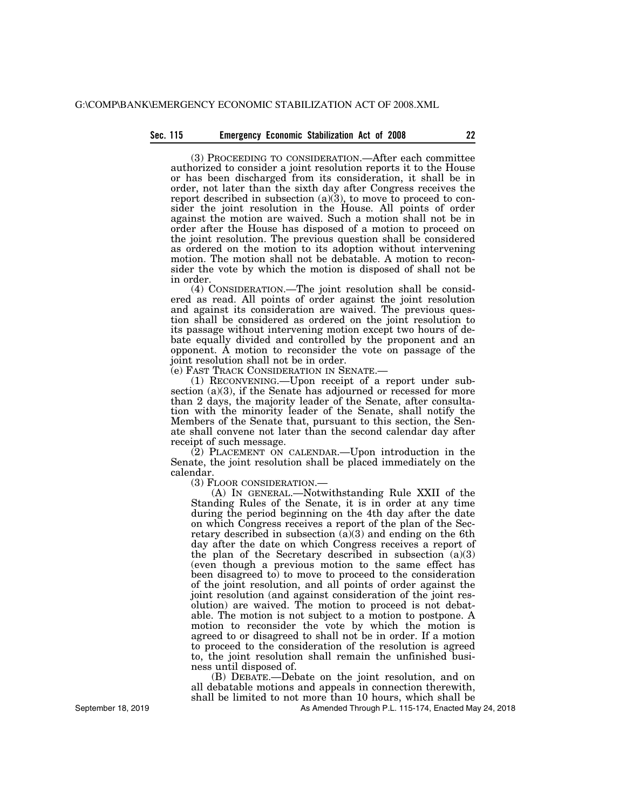#### **Sec. 115 Emergency Economic Stabilization Act of 2008 22**

(3) PROCEEDING TO CONSIDERATION.—After each committee authorized to consider a joint resolution reports it to the House or has been discharged from its consideration, it shall be in order, not later than the sixth day after Congress receives the report described in subsection  $(a)(3)$ , to move to proceed to consider the joint resolution in the House. All points of order against the motion are waived. Such a motion shall not be in order after the House has disposed of a motion to proceed on the joint resolution. The previous question shall be considered as ordered on the motion to its adoption without intervening motion. The motion shall not be debatable. A motion to reconsider the vote by which the motion is disposed of shall not be in order.

(4) CONSIDERATION.—The joint resolution shall be considered as read. All points of order against the joint resolution and against its consideration are waived. The previous question shall be considered as ordered on the joint resolution to its passage without intervening motion except two hours of debate equally divided and controlled by the proponent and an opponent. A motion to reconsider the vote on passage of the joint resolution shall not be in order.<br>(e) FAST TRACK CONSIDERATION IN SENATE.—

(1) RECONVENING.—Upon receipt of a report under subsection (a)(3), if the Senate has adjourned or recessed for more than 2 days, the majority leader of the Senate, after consultation with the minority leader of the Senate, shall notify the Members of the Senate that, pursuant to this section, the Senate shall convene not later than the second calendar day after receipt of such message.

(2) PLACEMENT ON CALENDAR.—Upon introduction in the Senate, the joint resolution shall be placed immediately on the calendar.

(3) FLOOR CONSIDERATION.—

(A) IN GENERAL.—Notwithstanding Rule XXII of the Standing Rules of the Senate, it is in order at any time during the period beginning on the 4th day after the date on which Congress receives a report of the plan of the Secretary described in subsection  $(a)(3)$  and ending on the 6th day after the date on which Congress receives a report of the plan of the Secretary described in subsection  $(a)(3)$ (even though a previous motion to the same effect has been disagreed to) to move to proceed to the consideration of the joint resolution, and all points of order against the joint resolution (and against consideration of the joint resolution) are waived. The motion to proceed is not debatable. The motion is not subject to a motion to postpone. A motion to reconsider the vote by which the motion is agreed to or disagreed to shall not be in order. If a motion to proceed to the consideration of the resolution is agreed to, the joint resolution shall remain the unfinished business until disposed of.

(B) DEBATE.—Debate on the joint resolution, and on all debatable motions and appeals in connection therewith, shall be limited to not more than 10 hours, which shall be

As Amended Through P.L. 115-174, Enacted May 24, 2018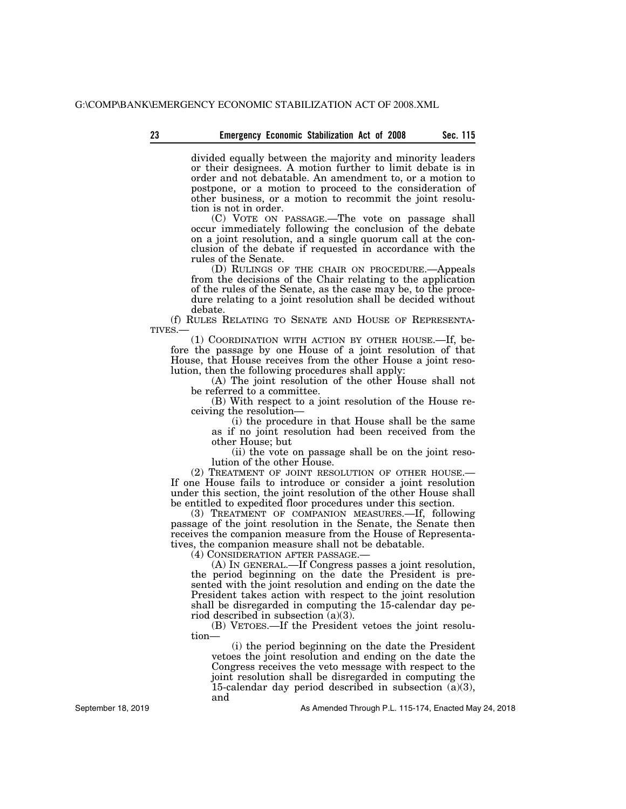| 23 | Emergency Economic Stabilization Act of 2008 |  | Sec. 115 |
|----|----------------------------------------------|--|----------|
|    |                                              |  |          |

divided equally between the majority and minority leaders or their designees. A motion further to limit debate is in order and not debatable. An amendment to, or a motion to postpone, or a motion to proceed to the consideration of other business, or a motion to recommit the joint resolution is not in order.

(C) VOTE ON PASSAGE.—The vote on passage shall occur immediately following the conclusion of the debate on a joint resolution, and a single quorum call at the conclusion of the debate if requested in accordance with the rules of the Senate.

(D) RULINGS OF THE CHAIR ON PROCEDURE.—Appeals from the decisions of the Chair relating to the application of the rules of the Senate, as the case may be, to the procedure relating to a joint resolution shall be decided without debate.

(f) RULES RELATING TO SENATE AND HOUSE OF REPRESENTA- TIVES.— (1) COORDINATION WITH ACTION BY OTHER HOUSE.—If, be-

fore the passage by one House of a joint resolution of that House, that House receives from the other House a joint resolution, then the following procedures shall apply:

(A) The joint resolution of the other House shall not be referred to a committee.

(B) With respect to a joint resolution of the House receiving the resolution—

(i) the procedure in that House shall be the same as if no joint resolution had been received from the other House; but

(ii) the vote on passage shall be on the joint resolution of the other House.

(2) TREATMENT OF JOINT RESOLUTION OF OTHER HOUSE.— If one House fails to introduce or consider a joint resolution under this section, the joint resolution of the other House shall be entitled to expedited floor procedures under this section.

(3) TREATMENT OF COMPANION MEASURES.—If, following passage of the joint resolution in the Senate, the Senate then receives the companion measure from the House of Representatives, the companion measure shall not be debatable.

(4) CONSIDERATION AFTER PASSAGE.—

(A) IN GENERAL.—If Congress passes a joint resolution, the period beginning on the date the President is presented with the joint resolution and ending on the date the President takes action with respect to the joint resolution shall be disregarded in computing the 15-calendar day period described in subsection  $(a)(3)$ .

(B) VETOES.—If the President vetoes the joint resolution—

(i) the period beginning on the date the President vetoes the joint resolution and ending on the date the Congress receives the veto message with respect to the joint resolution shall be disregarded in computing the 15-calendar day period described in subsection (a)(3), and

September 18, 2019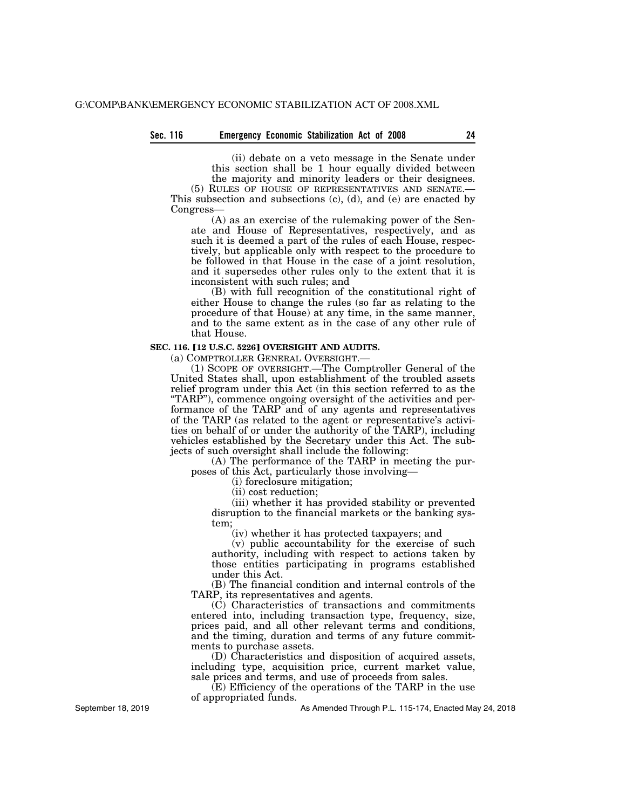| Emergency Economic Stabilization Act of 2008<br>Sec. 116 |
|----------------------------------------------------------|
|----------------------------------------------------------|

(ii) debate on a veto message in the Senate under this section shall be 1 hour equally divided between the majority and minority leaders or their designees.

(5) RULES OF HOUSE OF REPRESENTATIVES AND SENATE.— This subsection and subsections (c), (d), and (e) are enacted by Congress—

(A) as an exercise of the rulemaking power of the Senate and House of Representatives, respectively, and as such it is deemed a part of the rules of each House, respectively, but applicable only with respect to the procedure to be followed in that House in the case of a joint resolution, and it supersedes other rules only to the extent that it is inconsistent with such rules; and

(B) with full recognition of the constitutional right of either House to change the rules (so far as relating to the procedure of that House) at any time, in the same manner, and to the same extent as in the case of any other rule of that House.

## **SEC. 116. [12 U.S.C. 5226] OVERSIGHT AND AUDITS.**

(a) COMPTROLLER GENERAL OVERSIGHT.—

(1) SCOPE OF OVERSIGHT.—The Comptroller General of the United States shall, upon establishment of the troubled assets relief program under this Act (in this section referred to as the ''TARP''), commence ongoing oversight of the activities and performance of the TARP and of any agents and representatives of the TARP (as related to the agent or representative's activities on behalf of or under the authority of the TARP), including vehicles established by the Secretary under this Act. The subjects of such oversight shall include the following:

(A) The performance of the TARP in meeting the purposes of this Act, particularly those involving—

(i) foreclosure mitigation;

(ii) cost reduction;

(iii) whether it has provided stability or prevented disruption to the financial markets or the banking system;

(iv) whether it has protected taxpayers; and

(v) public accountability for the exercise of such authority, including with respect to actions taken by those entities participating in programs established under this Act.

(B) The financial condition and internal controls of the TARP, its representatives and agents.

(C) Characteristics of transactions and commitments entered into, including transaction type, frequency, size, prices paid, and all other relevant terms and conditions, and the timing, duration and terms of any future commitments to purchase assets.

(D) Characteristics and disposition of acquired assets, including type, acquisition price, current market value, sale prices and terms, and use of proceeds from sales.

(E) Efficiency of the operations of the TARP in the use of appropriated funds.

As Amended Through P.L. 115-174, Enacted May 24, 2018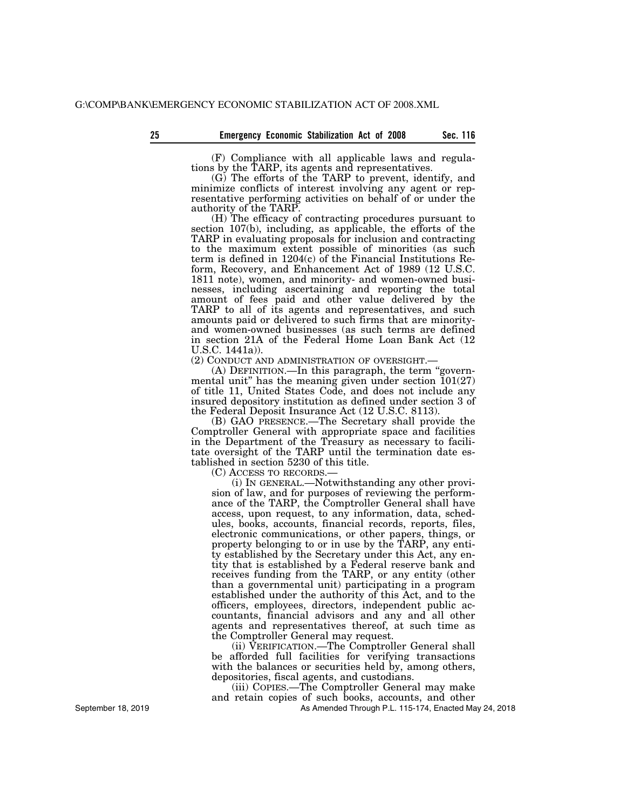(F) Compliance with all applicable laws and regulations by the TARP, its agents and representatives.

(G) The efforts of the TARP to prevent, identify, and minimize conflicts of interest involving any agent or representative performing activities on behalf of or under the authority of the TARP.

(H) The efficacy of contracting procedures pursuant to section 107(b), including, as applicable, the efforts of the TARP in evaluating proposals for inclusion and contracting to the maximum extent possible of minorities (as such term is defined in  $1204(c)$  of the Financial Institutions Reform, Recovery, and Enhancement Act of 1989 (12 U.S.C. 1811 note), women, and minority- and women-owned businesses, including ascertaining and reporting the total amount of fees paid and other value delivered by the TARP to all of its agents and representatives, and such amounts paid or delivered to such firms that are minorityand women-owned businesses (as such terms are defined in section 21A of the Federal Home Loan Bank Act (12 U.S.C. 1441a)).

(2) CONDUCT AND ADMINISTRATION OF OVERSIGHT.— (A) DEFINITION.—In this paragraph, the term ''governmental unit" has the meaning given under section  $101(27)$ of title 11, United States Code, and does not include any insured depository institution as defined under section 3 of the Federal Deposit Insurance Act (12 U.S.C. 8113).

(B) GAO PRESENCE.—The Secretary shall provide the Comptroller General with appropriate space and facilities in the Department of the Treasury as necessary to facilitate oversight of the TARP until the termination date established in section 5230 of this title.

(C) ACCESS TO RECORDS.—

(i) IN GENERAL.—Notwithstanding any other provision of law, and for purposes of reviewing the performance of the TARP, the Comptroller General shall have access, upon request, to any information, data, schedules, books, accounts, financial records, reports, files, electronic communications, or other papers, things, or property belonging to or in use by the TARP, any entity established by the Secretary under this Act, any entity that is established by a Federal reserve bank and receives funding from the TARP, or any entity (other than a governmental unit) participating in a program established under the authority of this Act, and to the officers, employees, directors, independent public accountants, financial advisors and any and all other agents and representatives thereof, at such time as the Comptroller General may request.

(ii) VERIFICATION.—The Comptroller General shall be afforded full facilities for verifying transactions with the balances or securities held by, among others, depositories, fiscal agents, and custodians.

(iii) COPIES.—The Comptroller General may make and retain copies of such books, accounts, and other

As Amended Through P.L. 115-174, Enacted May 24, 2018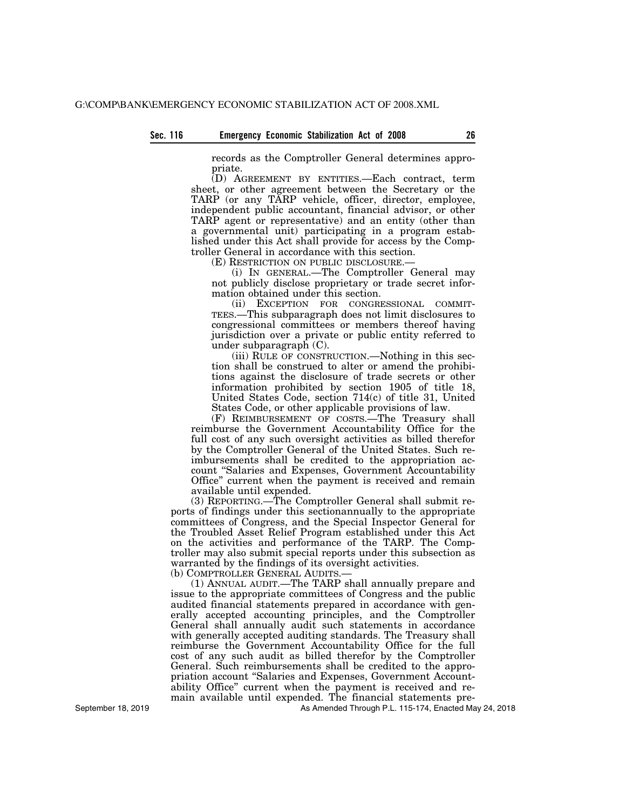records as the Comptroller General determines appropriate.

(D) AGREEMENT BY ENTITIES.—Each contract, term sheet, or other agreement between the Secretary or the TARP (or any TARP vehicle, officer, director, employee, independent public accountant, financial advisor, or other TARP agent or representative) and an entity (other than a governmental unit) participating in a program established under this Act shall provide for access by the Comptroller General in accordance with this section.

(E) RESTRICTION ON PUBLIC DISCLOSURE.—

(i) IN GENERAL.—The Comptroller General may not publicly disclose proprietary or trade secret information obtained under this section.

(ii) EXCEPTION FOR CONGRESSIONAL COMMIT-TEES.—This subparagraph does not limit disclosures to congressional committees or members thereof having jurisdiction over a private or public entity referred to under subparagraph (C).

(iii) RULE OF CONSTRUCTION.—Nothing in this section shall be construed to alter or amend the prohibitions against the disclosure of trade secrets or other information prohibited by section 1905 of title 18, United States Code, section 714(c) of title 31, United States Code, or other applicable provisions of law.

(F) REIMBURSEMENT OF COSTS.—The Treasury shall reimburse the Government Accountability Office for the full cost of any such oversight activities as billed therefor by the Comptroller General of the United States. Such reimbursements shall be credited to the appropriation account ''Salaries and Expenses, Government Accountability Office'' current when the payment is received and remain available until expended.

(3) REPORTING.—The Comptroller General shall submit reports of findings under this sectionannually to the appropriate committees of Congress, and the Special Inspector General for the Troubled Asset Relief Program established under this Act on the activities and performance of the TARP. The Comptroller may also submit special reports under this subsection as warranted by the findings of its oversight activities.

(b) COMPTROLLER GENERAL AUDITS.—

(1) ANNUAL AUDIT.—The TARP shall annually prepare and issue to the appropriate committees of Congress and the public audited financial statements prepared in accordance with generally accepted accounting principles, and the Comptroller General shall annually audit such statements in accordance with generally accepted auditing standards. The Treasury shall reimburse the Government Accountability Office for the full cost of any such audit as billed therefor by the Comptroller General. Such reimbursements shall be credited to the appropriation account ''Salaries and Expenses, Government Accountability Office'' current when the payment is received and remain available until expended. The financial statements pre-

As Amended Through P.L. 115-174, Enacted May 24, 2018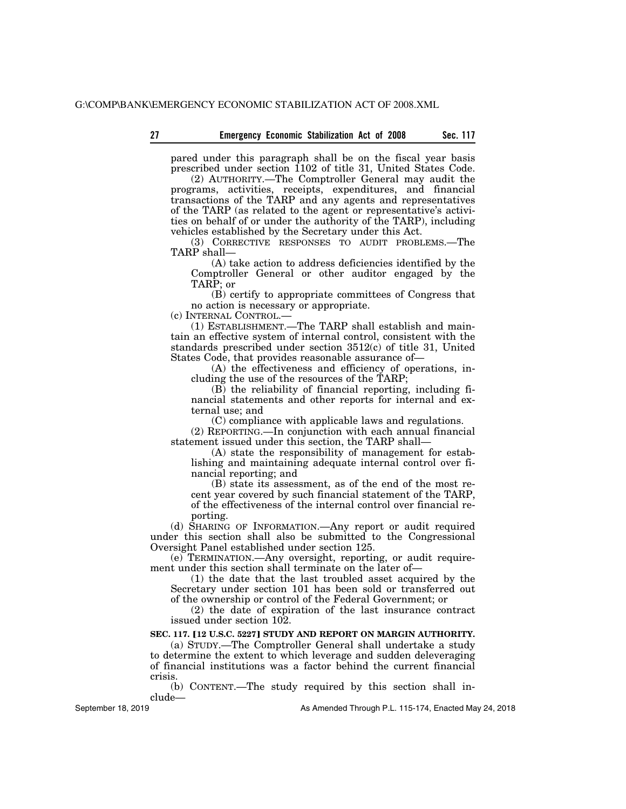pared under this paragraph shall be on the fiscal year basis prescribed under section 1102 of title 31, United States Code. (2) AUTHORITY.—The Comptroller General may audit the

programs, activities, receipts, expenditures, and financial transactions of the TARP and any agents and representatives of the TARP (as related to the agent or representative's activities on behalf of or under the authority of the TARP), including vehicles established by the Secretary under this Act.

(3) CORRECTIVE RESPONSES TO AUDIT PROBLEMS.—The TARP shall—

(A) take action to address deficiencies identified by the Comptroller General or other auditor engaged by the TARP; or

(B) certify to appropriate committees of Congress that no action is necessary or appropriate.

(c) INTERNAL CONTROL.—

(1) ESTABLISHMENT.—The TARP shall establish and maintain an effective system of internal control, consistent with the standards prescribed under section 3512(c) of title 31, United States Code, that provides reasonable assurance of—

(A) the effectiveness and efficiency of operations, including the use of the resources of the TARP;

(B) the reliability of financial reporting, including financial statements and other reports for internal and external use; and

(C) compliance with applicable laws and regulations.

(2) REPORTING.—In conjunction with each annual financial statement issued under this section, the TARP shall—

(A) state the responsibility of management for establishing and maintaining adequate internal control over financial reporting; and

(B) state its assessment, as of the end of the most recent year covered by such financial statement of the TARP, of the effectiveness of the internal control over financial reporting.

(d) SHARING OF INFORMATION.—Any report or audit required under this section shall also be submitted to the Congressional Oversight Panel established under section 125.

(e) TERMINATION.—Any oversight, reporting, or audit requirement under this section shall terminate on the later of—

(1) the date that the last troubled asset acquired by the Secretary under section 101 has been sold or transferred out of the ownership or control of the Federal Government; or

(2) the date of expiration of the last insurance contract issued under section 102.

# **SEC. 117. [12 U.S.C. 5227] STUDY AND REPORT ON MARGIN AUTHORITY.**

(a) STUDY.—The Comptroller General shall undertake a study to determine the extent to which leverage and sudden deleveraging of financial institutions was a factor behind the current financial crisis.

(b) CONTENT.—The study required by this section shall include—

September 18, 2019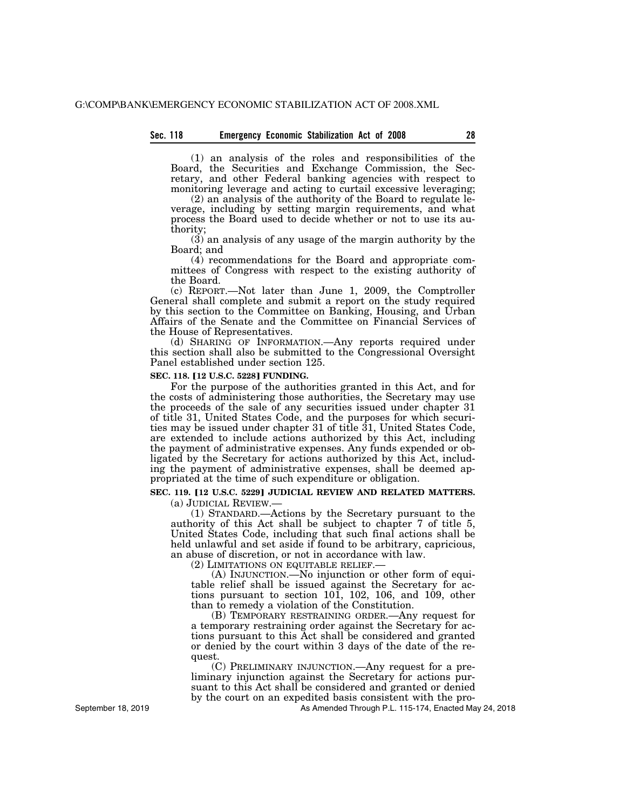#### **Sec. 118 Emergency Economic Stabilization Act of 2008 28**

(1) an analysis of the roles and responsibilities of the Board, the Securities and Exchange Commission, the Secretary, and other Federal banking agencies with respect to monitoring leverage and acting to curtail excessive leveraging;

(2) an analysis of the authority of the Board to regulate leverage, including by setting margin requirements, and what process the Board used to decide whether or not to use its authority;

(3) an analysis of any usage of the margin authority by the Board; and

(4) recommendations for the Board and appropriate committees of Congress with respect to the existing authority of the Board.

(c) REPORT.—Not later than June 1, 2009, the Comptroller General shall complete and submit a report on the study required by this section to the Committee on Banking, Housing, and Urban Affairs of the Senate and the Committee on Financial Services of the House of Representatives.

(d) SHARING OF INFORMATION.—Any reports required under this section shall also be submitted to the Congressional Oversight Panel established under section 125.

#### **SEC. 118. [12 U.S.C. 5228] FUNDING.**

For the purpose of the authorities granted in this Act, and for the costs of administering those authorities, the Secretary may use the proceeds of the sale of any securities issued under chapter 31 of title 31, United States Code, and the purposes for which securities may be issued under chapter 31 of title 31, United States Code, are extended to include actions authorized by this Act, including the payment of administrative expenses. Any funds expended or obligated by the Secretary for actions authorized by this Act, including the payment of administrative expenses, shall be deemed appropriated at the time of such expenditure or obligation.

# SEC. 119. [12 U.S.C. 5229] JUDICIAL REVIEW AND RELATED MATTERS.

(a) JUDICIAL REVIEW.— (1) STANDARD.—Actions by the Secretary pursuant to the authority of this Act shall be subject to chapter 7 of title 5, United States Code, including that such final actions shall be held unlawful and set aside if found to be arbitrary, capricious, an abuse of discretion, or not in accordance with law.

(2) LIMITATIONS ON EQUITABLE RELIEF.—

(A) INJUNCTION.—No injunction or other form of equitable relief shall be issued against the Secretary for actions pursuant to section 101, 102, 106, and 109, other than to remedy a violation of the Constitution.

(B) TEMPORARY RESTRAINING ORDER.—Any request for a temporary restraining order against the Secretary for actions pursuant to this Act shall be considered and granted or denied by the court within 3 days of the date of the request.

(C) PRELIMINARY INJUNCTION.—Any request for a preliminary injunction against the Secretary for actions pursuant to this Act shall be considered and granted or denied by the court on an expedited basis consistent with the pro-

As Amended Through P.L. 115-174, Enacted May 24, 2018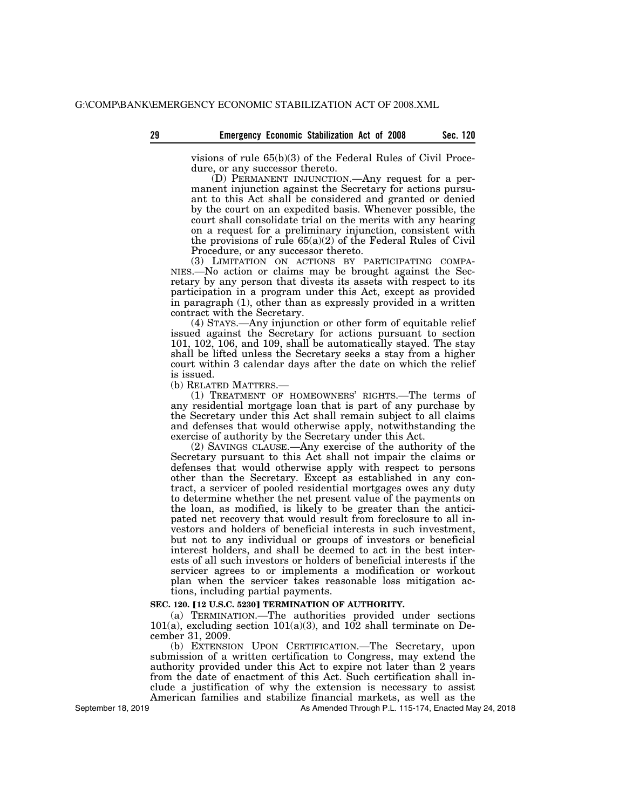visions of rule 65(b)(3) of the Federal Rules of Civil Procedure, or any successor thereto.

(D) PERMANENT INJUNCTION.—Any request for a permanent injunction against the Secretary for actions pursuant to this Act shall be considered and granted or denied by the court on an expedited basis. Whenever possible, the court shall consolidate trial on the merits with any hearing on a request for a preliminary injunction, consistent with the provisions of rule  $65(a)(2)$  of the Federal Rules of Civil Procedure, or any successor thereto.

(3) LIMITATION ON ACTIONS BY PARTICIPATING COMPA-NIES.—No action or claims may be brought against the Secretary by any person that divests its assets with respect to its participation in a program under this Act, except as provided in paragraph (1), other than as expressly provided in a written contract with the Secretary.

(4) STAYS.—Any injunction or other form of equitable relief issued against the Secretary for actions pursuant to section 101, 102, 106, and 109, shall be automatically stayed. The stay shall be lifted unless the Secretary seeks a stay from a higher court within 3 calendar days after the date on which the relief is issued.

(b) RELATED MATTERS.—

(1) TREATMENT OF HOMEOWNERS' RIGHTS.—The terms of any residential mortgage loan that is part of any purchase by the Secretary under this Act shall remain subject to all claims and defenses that would otherwise apply, notwithstanding the exercise of authority by the Secretary under this Act.

(2) SAVINGS CLAUSE.—Any exercise of the authority of the Secretary pursuant to this Act shall not impair the claims or defenses that would otherwise apply with respect to persons other than the Secretary. Except as established in any contract, a servicer of pooled residential mortgages owes any duty to determine whether the net present value of the payments on the loan, as modified, is likely to be greater than the anticipated net recovery that would result from foreclosure to all investors and holders of beneficial interests in such investment, but not to any individual or groups of investors or beneficial interest holders, and shall be deemed to act in the best interests of all such investors or holders of beneficial interests if the servicer agrees to or implements a modification or workout plan when the servicer takes reasonable loss mitigation actions, including partial payments.

#### **SEC. 120. [12 U.S.C. 5230] TERMINATION OF AUTHORITY.**

(a) TERMINATION.—The authorities provided under sections 101(a), excluding section 101(a)(3), and 102 shall terminate on December 31, 2009.

(b) EXTENSION UPON CERTIFICATION.—The Secretary, upon submission of a written certification to Congress, may extend the authority provided under this Act to expire not later than 2 years from the date of enactment of this Act. Such certification shall include a justification of why the extension is necessary to assist American families and stabilize financial markets, as well as the

September 18, 2019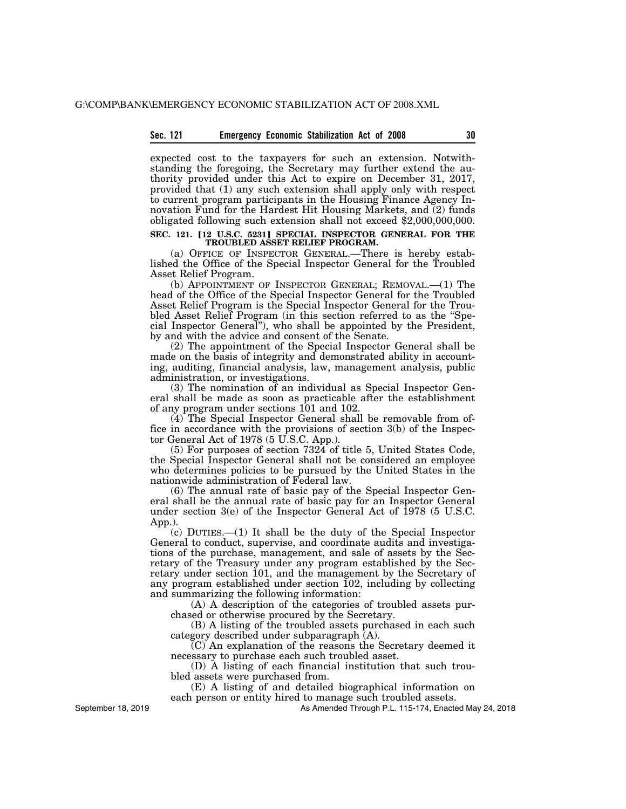# **Sec. 121 Emergency Economic Stabilization Act of 2008 30**

expected cost to the taxpayers for such an extension. Notwithstanding the foregoing, the Secretary may further extend the authority provided under this Act to expire on December 31, 2017, provided that (1) any such extension shall apply only with respect to current program participants in the Housing Finance Agency Innovation Fund for the Hardest Hit Housing Markets, and (2) funds obligated following such extension shall not exceed \$2,000,000,000.

#### SEC. 121. [12 U.S.C. 5231] SPECIAL INSPECTOR GENERAL FOR THE **TROUBLED ASSET RELIEF PROGRAM.**

(a) OFFICE OF INSPECTOR GENERAL.—There is hereby established the Office of the Special Inspector General for the Troubled Asset Relief Program.

(b) APPOINTMENT OF INSPECTOR GENERAL; REMOVAL.—(1) The head of the Office of the Special Inspector General for the Troubled Asset Relief Program is the Special Inspector General for the Troubled Asset Relief Program (in this section referred to as the ''Special Inspector General''), who shall be appointed by the President, by and with the advice and consent of the Senate.

(2) The appointment of the Special Inspector General shall be made on the basis of integrity and demonstrated ability in accounting, auditing, financial analysis, law, management analysis, public administration, or investigations.

(3) The nomination of an individual as Special Inspector General shall be made as soon as practicable after the establishment of any program under sections 101 and 102.

(4) The Special Inspector General shall be removable from office in accordance with the provisions of section 3(b) of the Inspector General Act of 1978 (5 U.S.C. App.).

(5) For purposes of section 7324 of title 5, United States Code, the Special Inspector General shall not be considered an employee who determines policies to be pursued by the United States in the nationwide administration of Federal law.

(6) The annual rate of basic pay of the Special Inspector General shall be the annual rate of basic pay for an Inspector General under section 3(e) of the Inspector General Act of 1978 (5 U.S.C. App.).

(c) DUTIES.—(1) It shall be the duty of the Special Inspector General to conduct, supervise, and coordinate audits and investigations of the purchase, management, and sale of assets by the Secretary of the Treasury under any program established by the Secretary under section 101, and the management by the Secretary of any program established under section 102, including by collecting and summarizing the following information:

(A) A description of the categories of troubled assets purchased or otherwise procured by the Secretary.

(B) A listing of the troubled assets purchased in each such category described under subparagraph (A).

(C) An explanation of the reasons the Secretary deemed it necessary to purchase each such troubled asset.

(D) A listing of each financial institution that such troubled assets were purchased from.

(E) A listing of and detailed biographical information on each person or entity hired to manage such troubled assets.

As Amended Through P.L. 115-174, Enacted May 24, 2018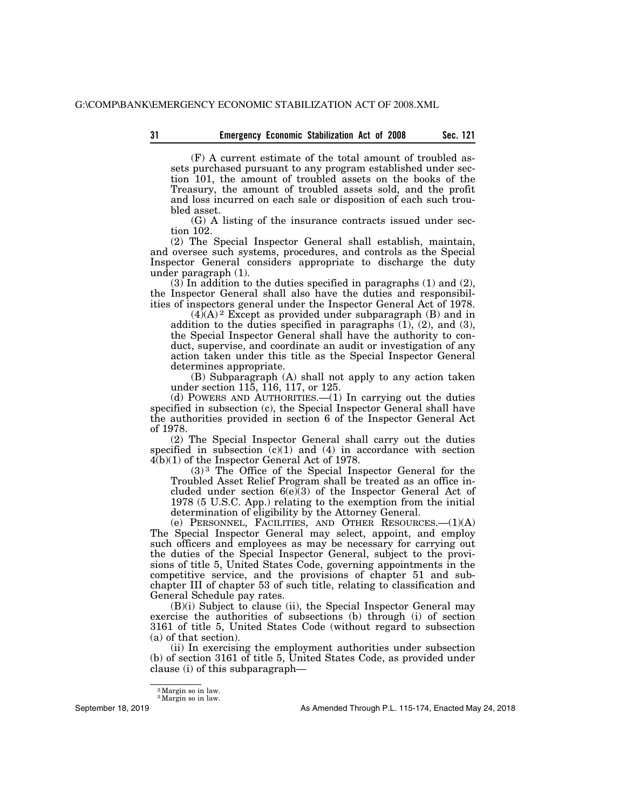(F) A current estimate of the total amount of troubled assets purchased pursuant to any program established under section 101, the amount of troubled assets on the books of the Treasury, the amount of troubled assets sold, and the profit and loss incurred on each sale or disposition of each such troubled asset.

(G) A listing of the insurance contracts issued under section 102.

(2) The Special Inspector General shall establish, maintain, and oversee such systems, procedures, and controls as the Special Inspector General considers appropriate to discharge the duty under paragraph (1).

 $(3)$  In addition to the duties specified in paragraphs  $(1)$  and  $(2)$ , the Inspector General shall also have the duties and responsibilities of inspectors general under the Inspector General Act of 1978.

 $(4)$  $(A)$ <sup>2</sup> Except as provided under subparagraph (B) and in addition to the duties specified in paragraphs (1), (2), and (3), the Special Inspector General shall have the authority to conduct, supervise, and coordinate an audit or investigation of any action taken under this title as the Special Inspector General determines appropriate.

(B) Subparagraph (A) shall not apply to any action taken under section 115, 116, 117, or 125.

(d) POWERS AND AUTHORITIES.—(1) In carrying out the duties specified in subsection (c), the Special Inspector General shall have the authorities provided in section 6 of the Inspector General Act of 1978.

(2) The Special Inspector General shall carry out the duties specified in subsection  $(c)(1)$  and  $(4)$  in accordance with section  $4(b)(1)$  of the Inspector General Act of 1978.

(3) 3 The Office of the Special Inspector General for the Troubled Asset Relief Program shall be treated as an office included under section  $6(e)(3)$  of the Inspector General Act of 1978 (5 U.S.C. App.) relating to the exemption from the initial determination of eligibility by the Attorney General.

(e) PERSONNEL, FACILITIES, AND OTHER RESOURCES.—(1)(A) The Special Inspector General may select, appoint, and employ such officers and employees as may be necessary for carrying out the duties of the Special Inspector General, subject to the provisions of title 5, United States Code, governing appointments in the competitive service, and the provisions of chapter 51 and subchapter III of chapter 53 of such title, relating to classification and General Schedule pay rates.

(B)(i) Subject to clause (ii), the Special Inspector General may exercise the authorities of subsections (b) through (i) of section 3161 of title 5, United States Code (without regard to subsection (a) of that section).

(ii) In exercising the employment authorities under subsection (b) of section 3161 of title 5, United States Code, as provided under clause (i) of this subparagraph—

September 18, 2019

<sup>2</sup>Margin so in law.

<sup>3</sup>Margin so in law.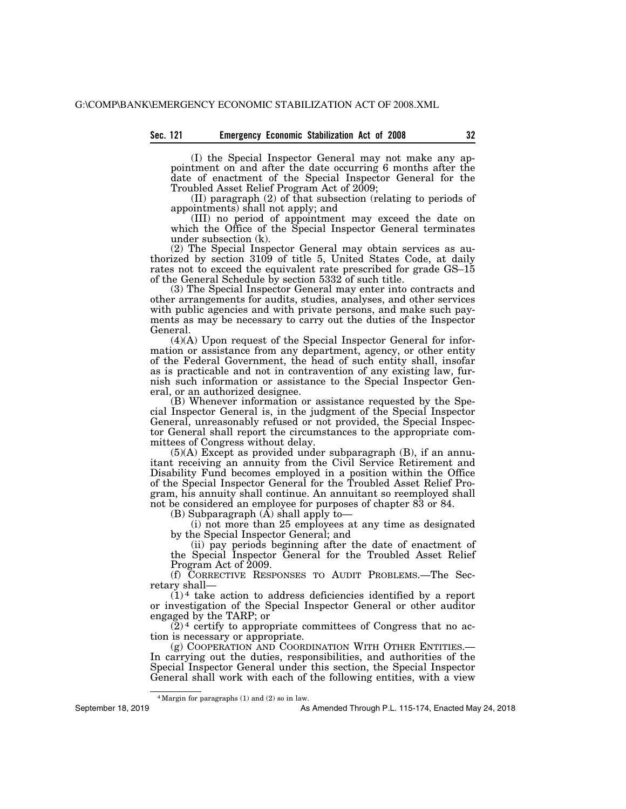(I) the Special Inspector General may not make any appointment on and after the date occurring 6 months after the date of enactment of the Special Inspector General for the Troubled Asset Relief Program Act of 2009;

(II) paragraph (2) of that subsection (relating to periods of appointments) shall not apply; and

(III) no period of appointment may exceed the date on which the Office of the Special Inspector General terminates under subsection (k).

(2) The Special Inspector General may obtain services as authorized by section 3109 of title 5, United States Code, at daily rates not to exceed the equivalent rate prescribed for grade GS–15 of the General Schedule by section 5332 of such title.

(3) The Special Inspector General may enter into contracts and other arrangements for audits, studies, analyses, and other services with public agencies and with private persons, and make such payments as may be necessary to carry out the duties of the Inspector General.

(4)(A) Upon request of the Special Inspector General for information or assistance from any department, agency, or other entity of the Federal Government, the head of such entity shall, insofar as is practicable and not in contravention of any existing law, furnish such information or assistance to the Special Inspector General, or an authorized designee.

(B) Whenever information or assistance requested by the Special Inspector General is, in the judgment of the Special Inspector General, unreasonably refused or not provided, the Special Inspector General shall report the circumstances to the appropriate committees of Congress without delay.

(5)(A) Except as provided under subparagraph (B), if an annuitant receiving an annuity from the Civil Service Retirement and Disability Fund becomes employed in a position within the Office of the Special Inspector General for the Troubled Asset Relief Program, his annuity shall continue. An annuitant so reemployed shall not be considered an employee for purposes of chapter 83 or 84.

(B) Subparagraph (A) shall apply to—

(i) not more than 25 employees at any time as designated by the Special Inspector General; and

(ii) pay periods beginning after the date of enactment of the Special Inspector General for the Troubled Asset Relief Program Act of 2009.

(f) CORRECTIVE RESPONSES TO AUDIT PROBLEMS.—The Secretary shall—

 $(1)$ <sup>4</sup> take action to address deficiencies identified by a report or investigation of the Special Inspector General or other auditor engaged by the TARP; or

 $(2)$ <sup>4</sup> certify to appropriate committees of Congress that no action is necessary or appropriate.

(g) COOPERATION AND COORDINATION WITH OTHER ENTITIES.— In carrying out the duties, responsibilities, and authorities of the Special Inspector General under this section, the Special Inspector General shall work with each of the following entities, with a view

September 18, 2019

<sup>4</sup>Margin for paragraphs (1) and (2) so in law.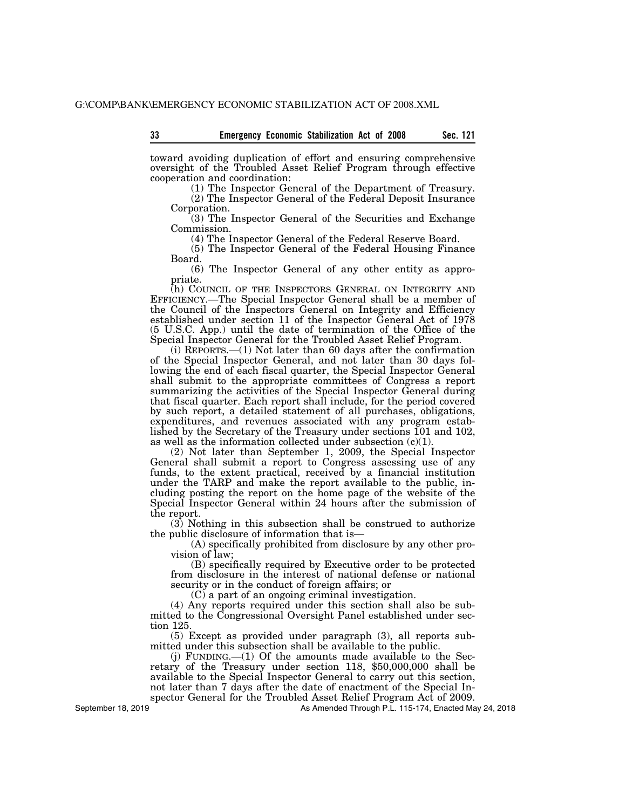**33 Sec. 121 Emergency Economic Stabilization Act of 2008** 

toward avoiding duplication of effort and ensuring comprehensive oversight of the Troubled Asset Relief Program through effective cooperation and coordination:

(1) The Inspector General of the Department of Treasury. (2) The Inspector General of the Federal Deposit Insurance Corporation.

(3) The Inspector General of the Securities and Exchange Commission.

(4) The Inspector General of the Federal Reserve Board.

(5) The Inspector General of the Federal Housing Finance Board.

(6) The Inspector General of any other entity as appropriate.

(h) COUNCIL OF THE INSPECTORS GENERAL ON INTEGRITY AND EFFICIENCY.—The Special Inspector General shall be a member of the Council of the Inspectors General on Integrity and Efficiency established under section 11 of the Inspector General Act of 1978 (5 U.S.C. App.) until the date of termination of the Office of the Special Inspector General for the Troubled Asset Relief Program.

(i) REPORTS.—(1) Not later than 60 days after the confirmation of the Special Inspector General, and not later than 30 days following the end of each fiscal quarter, the Special Inspector General shall submit to the appropriate committees of Congress a report summarizing the activities of the Special Inspector General during that fiscal quarter. Each report shall include, for the period covered by such report, a detailed statement of all purchases, obligations, expenditures, and revenues associated with any program established by the Secretary of the Treasury under sections 101 and 102, as well as the information collected under subsection (c)(1).

(2) Not later than September 1, 2009, the Special Inspector General shall submit a report to Congress assessing use of any funds, to the extent practical, received by a financial institution under the TARP and make the report available to the public, including posting the report on the home page of the website of the Special Inspector General within 24 hours after the submission of the report.

(3) Nothing in this subsection shall be construed to authorize the public disclosure of information that is—

(A) specifically prohibited from disclosure by any other provision of law;

(B) specifically required by Executive order to be protected from disclosure in the interest of national defense or national security or in the conduct of foreign affairs; or

(C) a part of an ongoing criminal investigation.

(4) Any reports required under this section shall also be submitted to the Congressional Oversight Panel established under section 125.

(5) Except as provided under paragraph (3), all reports submitted under this subsection shall be available to the public.

(j) FUNDING.—(1) Of the amounts made available to the Secretary of the Treasury under section 118, \$50,000,000 shall be available to the Special Inspector General to carry out this section, not later than 7 days after the date of enactment of the Special Inspector General for the Troubled Asset Relief Program Act of 2009.

September 18, 2019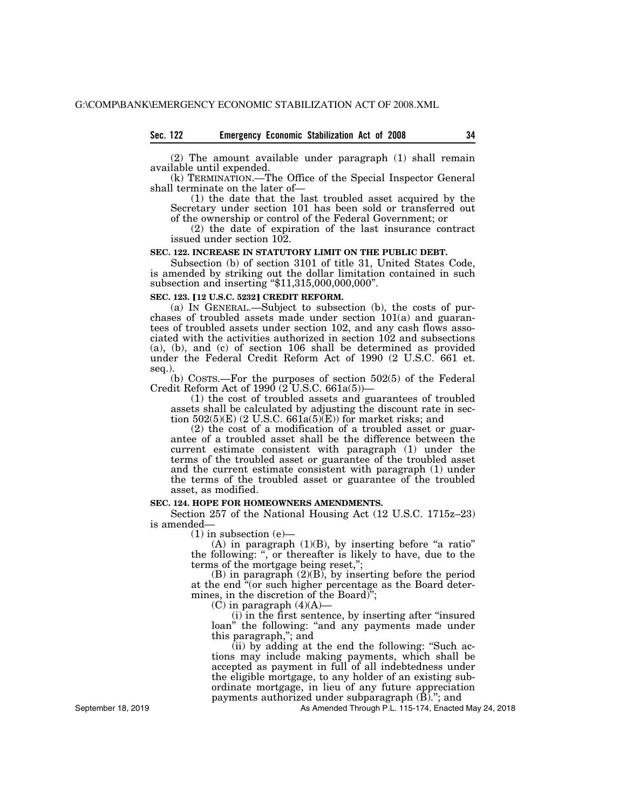# **Sec. 122 Emergency Economic Stabilization Act of 2008 34**

(2) The amount available under paragraph (1) shall remain available until expended.

(k) TERMINATION.—The Office of the Special Inspector General shall terminate on the later of—

(1) the date that the last troubled asset acquired by the Secretary under section 101 has been sold or transferred out of the ownership or control of the Federal Government; or

(2) the date of expiration of the last insurance contract issued under section 102.

#### **SEC. 122. INCREASE IN STATUTORY LIMIT ON THE PUBLIC DEBT.**

Subsection (b) of section 3101 of title 31, United States Code, is amended by striking out the dollar limitation contained in such subsection and inserting "\$11,315,000,000,000".

#### **SEC. 123. [12 U.S.C. 5232] CREDIT REFORM.**

(a) IN GENERAL.—Subject to subsection (b), the costs of purchases of troubled assets made under section 101(a) and guarantees of troubled assets under section 102, and any cash flows associated with the activities authorized in section 102 and subsections (a), (b), and (c) of section 106 shall be determined as provided under the Federal Credit Reform Act of 1990 (2 U.S.C. 661 et. seq.).

(b) COSTS.—For the purposes of section 502(5) of the Federal Credit Reform Act of 1990  $(2$  U.S.C. 661a $(5)$ )

(1) the cost of troubled assets and guarantees of troubled assets shall be calculated by adjusting the discount rate in section  $502(5)(E)$  (2 U.S.C.  $661a(5)(E)$ ) for market risks; and

(2) the cost of a modification of a troubled asset or guarantee of a troubled asset shall be the difference between the current estimate consistent with paragraph (1) under the terms of the troubled asset or guarantee of the troubled asset and the current estimate consistent with paragraph (1) under the terms of the troubled asset or guarantee of the troubled asset, as modified.

#### **SEC. 124. HOPE FOR HOMEOWNERS AMENDMENTS.**

Section 257 of the National Housing Act (12 U.S.C. 1715z–23) is amended—

 $(1)$  in subsection  $(e)$ —

 $(A)$  in paragraph  $(1)(B)$ , by inserting before "a ratio" the following: '', or thereafter is likely to have, due to the terms of the mortgage being reset,'';

(B) in paragraph (2)(B), by inserting before the period at the end ''(or such higher percentage as the Board determines, in the discretion of the Board)";

 $(C)$  in paragraph  $(4)(A)$ —

(i) in the first sentence, by inserting after ''insured loan" the following: "and any payments made under this paragraph,''; and

(ii) by adding at the end the following: ''Such actions may include making payments, which shall be accepted as payment in full of all indebtedness under the eligible mortgage, to any holder of an existing subordinate mortgage, in lieu of any future appreciation payments authorized under subparagraph (B).''; and

As Amended Through P.L. 115-174, Enacted May 24, 2018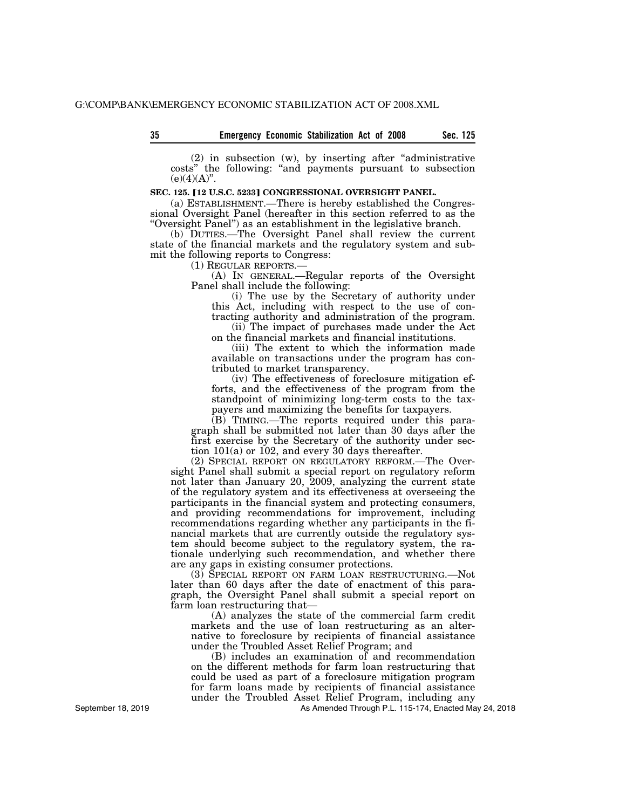**35 Sec. 125 Emergency Economic Stabilization Act of 2008** 

(2) in subsection (w), by inserting after ''administrative costs'' the following: ''and payments pursuant to subsection  $(e)(4)(A)$ ".

#### **SEC. 125. [12 U.S.C. 5233] CONGRESSIONAL OVERSIGHT PANEL.**

(a) ESTABLISHMENT.—There is hereby established the Congressional Oversight Panel (hereafter in this section referred to as the "Oversight Panel") as an establishment in the legislative branch.

(b) DUTIES.—The Oversight Panel shall review the current state of the financial markets and the regulatory system and submit the following reports to Congress:

(1) REGULAR REPORTS.—

(A) IN GENERAL.—Regular reports of the Oversight Panel shall include the following:

(i) The use by the Secretary of authority under this Act, including with respect to the use of contracting authority and administration of the program.

(ii) The impact of purchases made under the Act on the financial markets and financial institutions.

(iii) The extent to which the information made available on transactions under the program has contributed to market transparency.

(iv) The effectiveness of foreclosure mitigation efforts, and the effectiveness of the program from the standpoint of minimizing long-term costs to the taxpayers and maximizing the benefits for taxpayers.

(B) TIMING.—The reports required under this paragraph shall be submitted not later than 30 days after the first exercise by the Secretary of the authority under section 101(a) or 102, and every 30 days thereafter.

(2) SPECIAL REPORT ON REGULATORY REFORM.—The Oversight Panel shall submit a special report on regulatory reform not later than January 20, 2009, analyzing the current state of the regulatory system and its effectiveness at overseeing the participants in the financial system and protecting consumers, and providing recommendations for improvement, including recommendations regarding whether any participants in the financial markets that are currently outside the regulatory system should become subject to the regulatory system, the rationale underlying such recommendation, and whether there are any gaps in existing consumer protections.

(3) SPECIAL REPORT ON FARM LOAN RESTRUCTURING.—Not later than 60 days after the date of enactment of this paragraph, the Oversight Panel shall submit a special report on farm loan restructuring that—

(A) analyzes the state of the commercial farm credit markets and the use of loan restructuring as an alternative to foreclosure by recipients of financial assistance under the Troubled Asset Relief Program; and

(B) includes an examination of and recommendation on the different methods for farm loan restructuring that could be used as part of a foreclosure mitigation program for farm loans made by recipients of financial assistance under the Troubled Asset Relief Program, including any

As Amended Through P.L. 115-174, Enacted May 24, 2018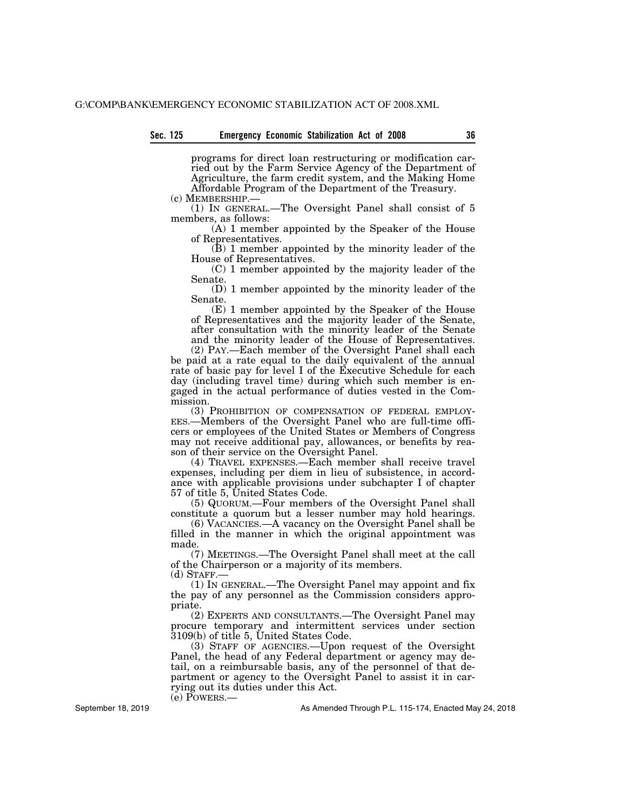programs for direct loan restructuring or modification carried out by the Farm Service Agency of the Department of Agriculture, the farm credit system, and the Making Home Affordable Program of the Department of the Treasury.

 $(1)$  In GENERAL.—The Oversight Panel shall consist of 5 members, as follows:

(A) 1 member appointed by the Speaker of the House of Representatives.

(B) 1 member appointed by the minority leader of the House of Representatives.

(C) 1 member appointed by the majority leader of the Senate.

(D) 1 member appointed by the minority leader of the Senate.

(E) 1 member appointed by the Speaker of the House of Representatives and the majority leader of the Senate, after consultation with the minority leader of the Senate and the minority leader of the House of Representatives.

(2) PAY.—Each member of the Oversight Panel shall each be paid at a rate equal to the daily equivalent of the annual rate of basic pay for level I of the Executive Schedule for each day (including travel time) during which such member is engaged in the actual performance of duties vested in the Commission.

(3) PROHIBITION OF COMPENSATION OF FEDERAL EMPLOY-EES.—Members of the Oversight Panel who are full-time officers or employees of the United States or Members of Congress may not receive additional pay, allowances, or benefits by reason of their service on the Oversight Panel.

(4) TRAVEL EXPENSES.—Each member shall receive travel expenses, including per diem in lieu of subsistence, in accordance with applicable provisions under subchapter I of chapter 57 of title 5, United States Code.

(5) QUORUM.—Four members of the Oversight Panel shall constitute a quorum but a lesser number may hold hearings.

(6) VACANCIES.—A vacancy on the Oversight Panel shall be filled in the manner in which the original appointment was made.

(7) MEETINGS.—The Oversight Panel shall meet at the call of the Chairperson or a majority of its members. (d) STAFF.—

(1) IN GENERAL.—The Oversight Panel may appoint and fix the pay of any personnel as the Commission considers appropriate.

(2) EXPERTS AND CONSULTANTS.—The Oversight Panel may procure temporary and intermittent services under section 3109(b) of title 5, United States Code.

(3) STAFF OF AGENCIES.—Upon request of the Oversight Panel, the head of any Federal department or agency may detail, on a reimbursable basis, any of the personnel of that department or agency to the Oversight Panel to assist it in carrying out its duties under this Act. (e) POWERS.—

September 18, 2019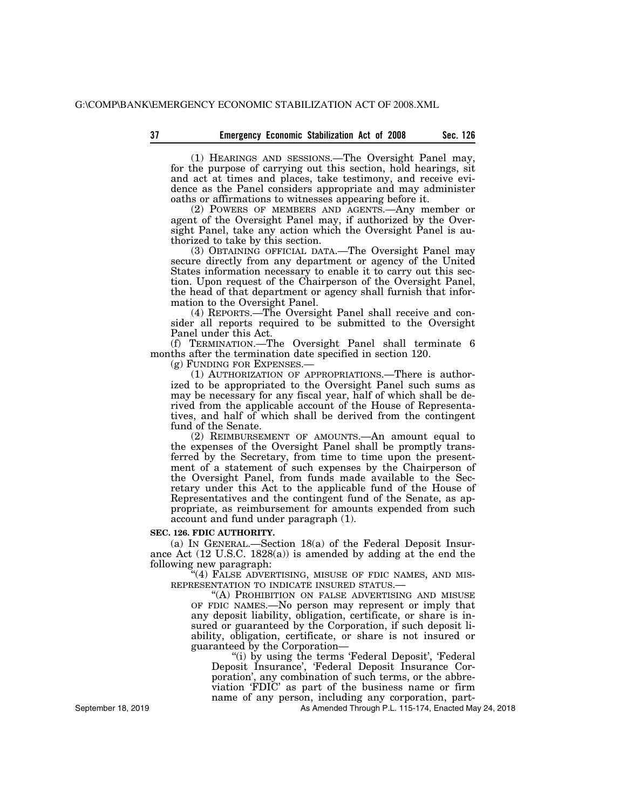(1) HEARINGS AND SESSIONS.—The Oversight Panel may, for the purpose of carrying out this section, hold hearings, sit and act at times and places, take testimony, and receive evidence as the Panel considers appropriate and may administer oaths or affirmations to witnesses appearing before it.

(2) POWERS OF MEMBERS AND AGENTS.—Any member or agent of the Oversight Panel may, if authorized by the Oversight Panel, take any action which the Oversight Panel is authorized to take by this section.

(3) OBTAINING OFFICIAL DATA.—The Oversight Panel may secure directly from any department or agency of the United States information necessary to enable it to carry out this section. Upon request of the Chairperson of the Oversight Panel, the head of that department or agency shall furnish that information to the Oversight Panel.

(4) REPORTS.—The Oversight Panel shall receive and consider all reports required to be submitted to the Oversight Panel under this Act.

(f) TERMINATION.—The Oversight Panel shall terminate 6 months after the termination date specified in section 120.

(g) FUNDING FOR EXPENSES.—

(1) AUTHORIZATION OF APPROPRIATIONS.—There is authorized to be appropriated to the Oversight Panel such sums as may be necessary for any fiscal year, half of which shall be derived from the applicable account of the House of Representatives, and half of which shall be derived from the contingent fund of the Senate.

(2) REIMBURSEMENT OF AMOUNTS.—An amount equal to the expenses of the Oversight Panel shall be promptly transferred by the Secretary, from time to time upon the presentment of a statement of such expenses by the Chairperson of the Oversight Panel, from funds made available to the Secretary under this Act to the applicable fund of the House of Representatives and the contingent fund of the Senate, as appropriate, as reimbursement for amounts expended from such account and fund under paragraph (1).

# **SEC. 126. FDIC AUTHORITY.**

(a) IN GENERAL.—Section 18(a) of the Federal Deposit Insurance Act (12 U.S.C. 1828(a)) is amended by adding at the end the following new paragraph:

"(4) FALSE ADVERTISING, MISUSE OF FDIC NAMES, AND MIS-REPRESENTATION TO INDICATE INSURED STATUS.—

"(A) PROHIBITION ON FALSE ADVERTISING AND MISUSE OF FDIC NAMES.—No person may represent or imply that any deposit liability, obligation, certificate, or share is insured or guaranteed by the Corporation, if such deposit liability, obligation, certificate, or share is not insured or guaranteed by the Corporation—

"(i) by using the terms 'Federal Deposit', 'Federal Deposit Insurance', 'Federal Deposit Insurance Corporation', any combination of such terms, or the abbreviation 'FDIC' as part of the business name or firm name of any person, including any corporation, part-

As Amended Through P.L. 115-174, Enacted May 24, 2018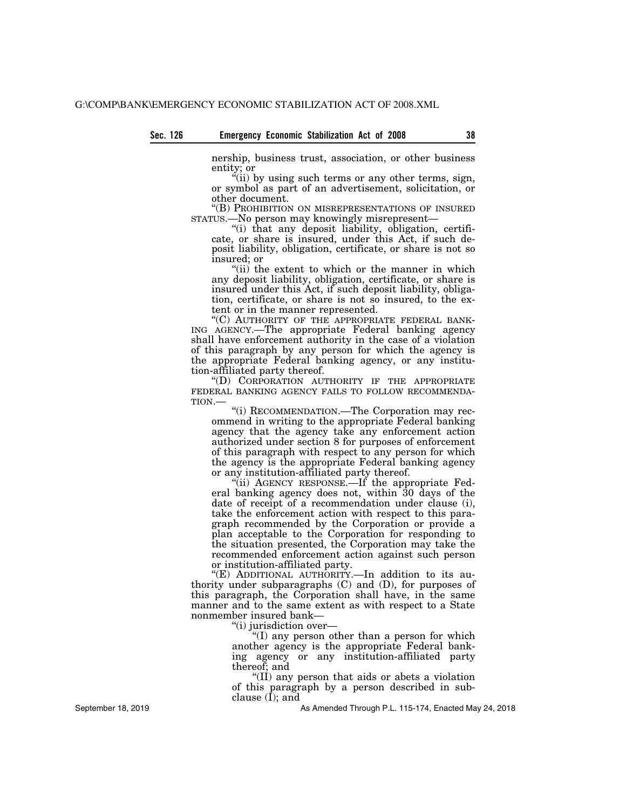nership, business trust, association, or other business entity; or

''(ii) by using such terms or any other terms, sign, or symbol as part of an advertisement, solicitation, or other document.

''(B) PROHIBITION ON MISREPRESENTATIONS OF INSURED STATUS.—No person may knowingly misrepresent—

''(i) that any deposit liability, obligation, certificate, or share is insured, under this Act, if such deposit liability, obligation, certificate, or share is not so insured; or

''(ii) the extent to which or the manner in which any deposit liability, obligation, certificate, or share is insured under this Act, if such deposit liability, obligation, certificate, or share is not so insured, to the extent or in the manner represented.<br>"(C) AUTHORITY OF THE APPROPRIATE FEDERAL BANK-

ING AGENCY.—The appropriate Federal banking agency shall have enforcement authority in the case of a violation of this paragraph by any person for which the agency is the appropriate Federal banking agency, or any institution-affiliated party thereof.

''(D) CORPORATION AUTHORITY IF THE APPROPRIATE

TION.— "(i) RECOMMENDATION.—The Corporation may recommend in writing to the appropriate Federal banking agency that the agency take any enforcement action authorized under section 8 for purposes of enforcement of this paragraph with respect to any person for which the agency is the appropriate Federal banking agency or any institution-affiliated party thereof.

"(ii) AGENCY RESPONSE.—If the appropriate Federal banking agency does not, within 30 days of the date of receipt of a recommendation under clause (i), take the enforcement action with respect to this paragraph recommended by the Corporation or provide a plan acceptable to the Corporation for responding to the situation presented, the Corporation may take the recommended enforcement action against such person or institution-affiliated party.

''(E) ADDITIONAL AUTHORITY.—In addition to its authority under subparagraphs (C) and (D), for purposes of this paragraph, the Corporation shall have, in the same manner and to the same extent as with respect to a State nonmember insured bank—

''(i) jurisdiction over—

''(I) any person other than a person for which another agency is the appropriate Federal banking agency or any institution-affiliated party thereof; and

''(II) any person that aids or abets a violation of this paragraph by a person described in subclause (I); and

As Amended Through P.L. 115-174, Enacted May 24, 2018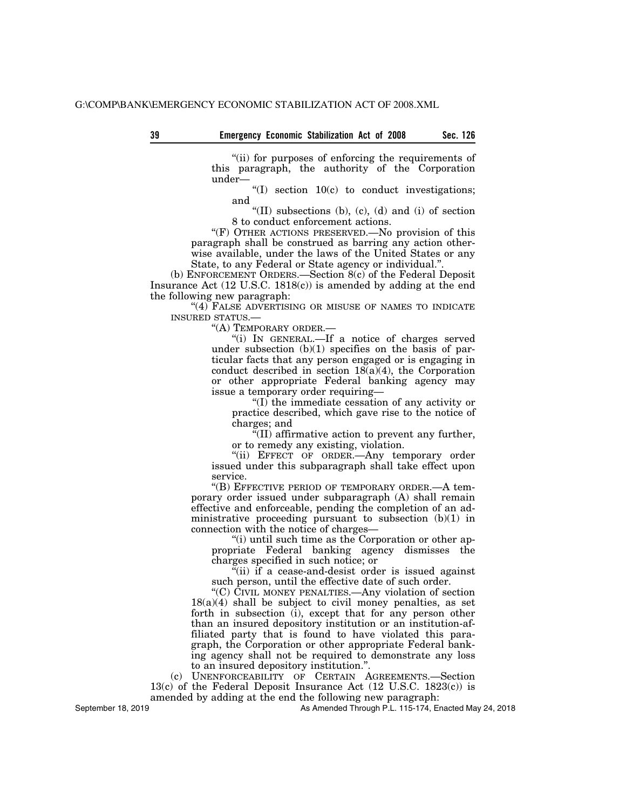**39 Sec. 126 Emergency Economic Stabilization Act of 2008** 

''(ii) for purposes of enforcing the requirements of this paragraph, the authority of the Corporation under—

"(I) section  $10(c)$  to conduct investigations; and

"(II) subsections (b), (c), (d) and (i) of section 8 to conduct enforcement actions.

"(F) OTHER ACTIONS PRESERVED.—No provision of this paragraph shall be construed as barring any action otherwise available, under the laws of the United States or any State, to any Federal or State agency or individual.'

(b) ENFORCEMENT ORDERS.—Section 8(c) of the Federal Deposit Insurance Act  $(12 \text{ U.S.C. } 1818(c))$  is amended by adding at the end the following new paragraph:

"(4) FALSE ADVERTISING OR MISUSE OF NAMES TO INDICATE INSURED STATUS.—

''(A) TEMPORARY ORDER.—

''(i) IN GENERAL.—If a notice of charges served under subsection  $(b)(1)$  specifies on the basis of particular facts that any person engaged or is engaging in conduct described in section  $18(a)(4)$ , the Corporation or other appropriate Federal banking agency may issue a temporary order requiring—

 $''(I)$  the immediate cessation of any activity or practice described, which gave rise to the notice of charges; and

 $\sqrt[q]{\text{II}}$  affirmative action to prevent any further, or to remedy any existing, violation.

"(ii) EFFECT OF ORDER.—Any temporary order issued under this subparagraph shall take effect upon service.

''(B) EFFECTIVE PERIOD OF TEMPORARY ORDER.—A temporary order issued under subparagraph (A) shall remain effective and enforceable, pending the completion of an administrative proceeding pursuant to subsection (b)(1) in connection with the notice of charges—

"(i) until such time as the Corporation or other appropriate Federal banking agency dismisses the charges specified in such notice; or

"(ii) if a cease-and-desist order is issued against such person, until the effective date of such order.

''(C) CIVIL MONEY PENALTIES.—Any violation of section  $18(a)(4)$  shall be subject to civil money penalties, as set forth in subsection (i), except that for any person other than an insured depository institution or an institution-affiliated party that is found to have violated this paragraph, the Corporation or other appropriate Federal banking agency shall not be required to demonstrate any loss to an insured depository institution.''.

(c) UNENFORCEABILITY OF CERTAIN AGREEMENTS.—Section 13(c) of the Federal Deposit Insurance Act (12 U.S.C. 1823(c)) is amended by adding at the end the following new paragraph:

September 18, 2019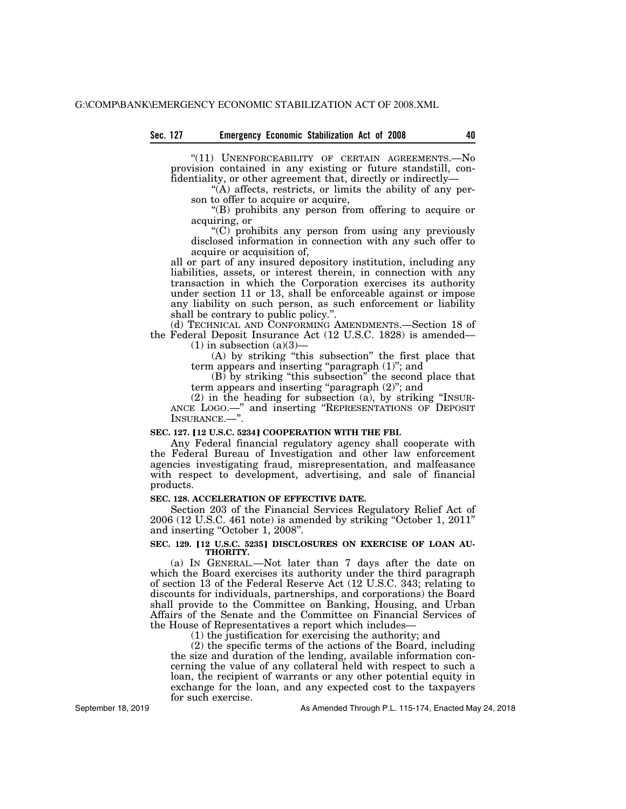## **Sec. 127 Emergency Economic Stabilization Act of 2008 40**

"(11) UNENFORCEABILITY OF CERTAIN AGREEMENTS.—No provision contained in any existing or future standstill, confidentiality, or other agreement that, directly or indirectly—

''(A) affects, restricts, or limits the ability of any person to offer to acquire or acquire,

''(B) prohibits any person from offering to acquire or acquiring, or

''(C) prohibits any person from using any previously disclosed information in connection with any such offer to acquire or acquisition of,

all or part of any insured depository institution, including any liabilities, assets, or interest therein, in connection with any transaction in which the Corporation exercises its authority under section 11 or 13, shall be enforceable against or impose any liability on such person, as such enforcement or liability shall be contrary to public policy.''.

(d) TECHNICAL AND CONFORMING AMENDMENTS.—Section 18 of the Federal Deposit Insurance Act (12 U.S.C. 1828) is amended—  $(1)$  in subsection  $(a)(3)$ —

(A) by striking ''this subsection'' the first place that term appears and inserting ''paragraph (1)''; and

(B) by striking ''this subsection'' the second place that term appears and inserting ''paragraph (2)''; and

(2) in the heading for subsection (a), by striking ''INSUR-ANCE LOGO.—'' and inserting ''REPRESENTATIONS OF DEPOSIT INSURANCE.—''.

#### **SEC. 127. [12 U.S.C. 5234] COOPERATION WITH THE FBI.**

Any Federal financial regulatory agency shall cooperate with the Federal Bureau of Investigation and other law enforcement agencies investigating fraud, misrepresentation, and malfeasance with respect to development, advertising, and sale of financial products.

# **SEC. 128. ACCELERATION OF EFFECTIVE DATE.**

Section 203 of the Financial Services Regulatory Relief Act of 2006 (12 U.S.C. 461 note) is amended by striking ''October 1, 2011'' and inserting ''October 1, 2008''.

#### SEC. 129. [12 U.S.C. 5235] DISCLOSURES ON EXERCISE OF LOAN AU-**THORITY.**

(a) IN GENERAL.—Not later than 7 days after the date on which the Board exercises its authority under the third paragraph of section 13 of the Federal Reserve Act (12 U.S.C. 343; relating to discounts for individuals, partnerships, and corporations) the Board shall provide to the Committee on Banking, Housing, and Urban Affairs of the Senate and the Committee on Financial Services of the House of Representatives a report which includes—

(1) the justification for exercising the authority; and

(2) the specific terms of the actions of the Board, including the size and duration of the lending, available information concerning the value of any collateral held with respect to such a loan, the recipient of warrants or any other potential equity in exchange for the loan, and any expected cost to the taxpayers for such exercise.

September 18, 2019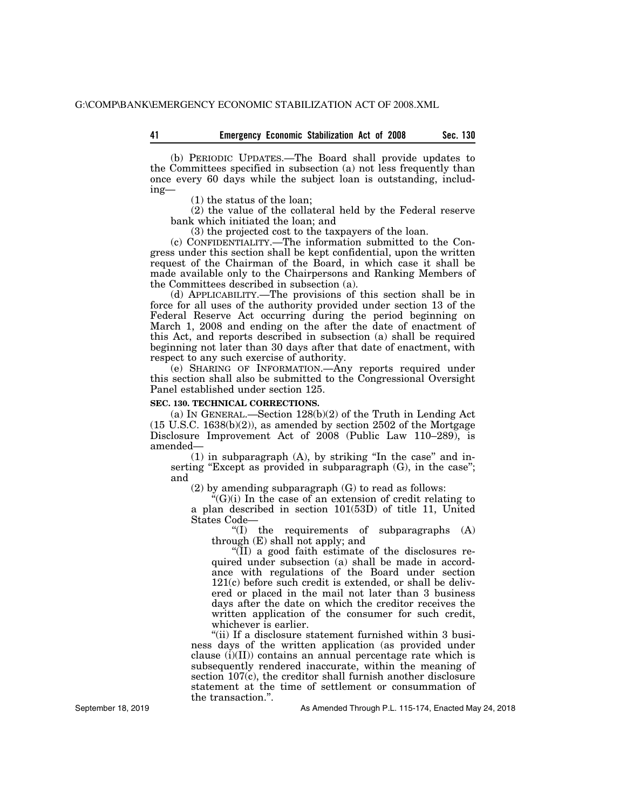(b) PERIODIC UPDATES.—The Board shall provide updates to the Committees specified in subsection (a) not less frequently than once every 60 days while the subject loan is outstanding, including—

(1) the status of the loan;

(2) the value of the collateral held by the Federal reserve bank which initiated the loan; and

(3) the projected cost to the taxpayers of the loan.

(c) CONFIDENTIALITY.—The information submitted to the Congress under this section shall be kept confidential, upon the written request of the Chairman of the Board, in which case it shall be made available only to the Chairpersons and Ranking Members of the Committees described in subsection (a).

(d) APPLICABILITY.—The provisions of this section shall be in force for all uses of the authority provided under section 13 of the Federal Reserve Act occurring during the period beginning on March 1, 2008 and ending on the after the date of enactment of this Act, and reports described in subsection (a) shall be required beginning not later than 30 days after that date of enactment, with respect to any such exercise of authority.

(e) SHARING OF INFORMATION.—Any reports required under this section shall also be submitted to the Congressional Oversight Panel established under section 125.

# **SEC. 130. TECHNICAL CORRECTIONS.**

(a) IN GENERAL.—Section 128(b)(2) of the Truth in Lending Act  $(15 \text{ U.S.C. } 1638(b)(2))$ , as amended by section 2502 of the Mortgage Disclosure Improvement Act of 2008 (Public Law 110–289), is amended—

 $(1)$  in subparagraph  $(A)$ , by striking "In the case" and inserting "Except as provided in subparagraph  $(G)$ , in the case"; and

(2) by amending subparagraph (G) to read as follows:

 $\mathcal{C}(G)(i)$  In the case of an extension of credit relating to a plan described in section 101(53D) of title 11, United States Code—

 $f(I)$  the requirements of subparagraphs  $(A)$ through (E) shall not apply; and

''(II) a good faith estimate of the disclosures required under subsection (a) shall be made in accordance with regulations of the Board under section 121(c) before such credit is extended, or shall be delivered or placed in the mail not later than 3 business days after the date on which the creditor receives the written application of the consumer for such credit, whichever is earlier.

"(ii) If a disclosure statement furnished within 3 business days of the written application (as provided under clause  $(i)(II)$  contains an annual percentage rate which is subsequently rendered inaccurate, within the meaning of section 107(c), the creditor shall furnish another disclosure statement at the time of settlement or consummation of the transaction.''.

As Amended Through P.L. 115-174, Enacted May 24, 2018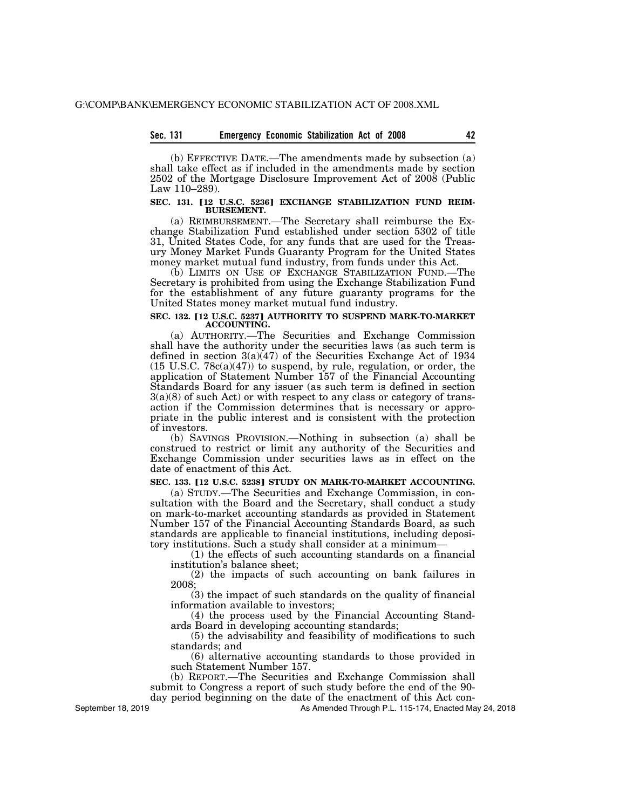#### **Sec. 131 Emergency Economic Stabilization Act of 2008 42**

(b) EFFECTIVE DATE.—The amendments made by subsection (a) shall take effect as if included in the amendments made by section 2502 of the Mortgage Disclosure Improvement Act of 2008 (Public Law 110–289).

#### SEC. 131. [12 U.S.C. 5236] EXCHANGE STABILIZATION FUND REIM-**BURSEMENT.**

(a) REIMBURSEMENT.—The Secretary shall reimburse the Exchange Stabilization Fund established under section 5302 of title 31, United States Code, for any funds that are used for the Treasury Money Market Funds Guaranty Program for the United States money market mutual fund industry, from funds under this Act.

(b) LIMITS ON USE OF EXCHANGE STABILIZATION FUND.—The Secretary is prohibited from using the Exchange Stabilization Fund for the establishment of any future guaranty programs for the United States money market mutual fund industry.

#### **SEC. 132. [12 U.S.C. 5237] AUTHORITY TO SUSPEND MARK-TO-MARKET ACCOUNTING.**

(a) AUTHORITY.—The Securities and Exchange Commission shall have the authority under the securities laws (as such term is defined in section 3(a)(47) of the Securities Exchange Act of 1934  $(15 \text{ U.S.C. } 78c(a)(47))$  to suspend, by rule, regulation, or order, the application of Statement Number 157 of the Financial Accounting Standards Board for any issuer (as such term is defined in section  $3(a)(8)$  of such Act) or with respect to any class or category of transaction if the Commission determines that is necessary or appropriate in the public interest and is consistent with the protection of investors.

(b) SAVINGS PROVISION.—Nothing in subsection (a) shall be construed to restrict or limit any authority of the Securities and Exchange Commission under securities laws as in effect on the date of enactment of this Act.

#### **SEC. 133. [12 U.S.C. 5238] STUDY ON MARK-TO-MARKET ACCOUNTING.**

(a) STUDY.—The Securities and Exchange Commission, in consultation with the Board and the Secretary, shall conduct a study on mark-to-market accounting standards as provided in Statement Number 157 of the Financial Accounting Standards Board, as such standards are applicable to financial institutions, including depository institutions. Such a study shall consider at a minimum—

(1) the effects of such accounting standards on a financial institution's balance sheet;

(2) the impacts of such accounting on bank failures in 2008;

(3) the impact of such standards on the quality of financial information available to investors;

(4) the process used by the Financial Accounting Standards Board in developing accounting standards;

(5) the advisability and feasibility of modifications to such standards; and

(6) alternative accounting standards to those provided in such Statement Number 157.

(b) REPORT.—The Securities and Exchange Commission shall submit to Congress a report of such study before the end of the 90-

day period beginning on the date of the enactment of this Act con-

September 18, 2019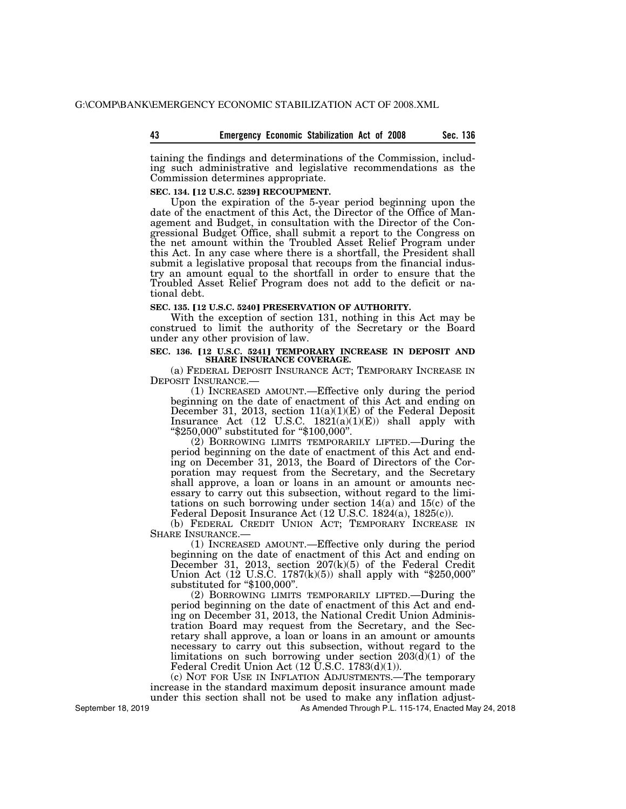**43 Sec. 136 Emergency Economic Stabilization Act of 2008** 

taining the findings and determinations of the Commission, including such administrative and legislative recommendations as the Commission determines appropriate.

# **SEC. 134. [12 U.S.C. 5239] RECOUPMENT.**

Upon the expiration of the 5-year period beginning upon the date of the enactment of this Act, the Director of the Office of Management and Budget, in consultation with the Director of the Congressional Budget Office, shall submit a report to the Congress on the net amount within the Troubled Asset Relief Program under this Act. In any case where there is a shortfall, the President shall submit a legislative proposal that recoups from the financial industry an amount equal to the shortfall in order to ensure that the Troubled Asset Relief Program does not add to the deficit or national debt.

**SEC. 135. [12 U.S.C. 5240] PRESERVATION OF AUTHORITY.** 

With the exception of section 131, nothing in this Act may be construed to limit the authority of the Secretary or the Board under any other provision of law.

# SEC. 136. **[12 U.S.C. 5241] TEMPORARY INCREASE IN DEPOSIT AND SHARE INSURANCE COVERAGE.**

(a) FEDERAL DEPOSIT INSURANCE ACT; TEMPORARY INCREASE IN

(1) INCREASED AMOUNT.—Effective only during the period beginning on the date of enactment of this Act and ending on December 31, 2013, section  $11(a)(1)(E)$  of the Federal Deposit Insurance Act  $(12 \text{ U.S.C. } 1821(a)(1)(E))$  shall apply with ''\$250,000'' substituted for ''\$100,000''.

(2) BORROWING LIMITS TEMPORARILY LIFTED.—During the period beginning on the date of enactment of this Act and ending on December 31, 2013, the Board of Directors of the Corporation may request from the Secretary, and the Secretary shall approve, a loan or loans in an amount or amounts necessary to carry out this subsection, without regard to the limitations on such borrowing under section 14(a) and 15(c) of the Federal Deposit Insurance Act (12 U.S.C. 1824(a), 1825(c)).

(b) FEDERAL CREDIT UNION ACT; TEMPORARY INCREASE IN SHARE INSURANCE.—

(1) INCREASED AMOUNT.—Effective only during the period beginning on the date of enactment of this Act and ending on December 31, 2013, section 207(k)(5) of the Federal Credit Union Act (12 U.S.C. 1787(k)(5)) shall apply with "\$250,000" substituted for "\$100,000".

(2) BORROWING LIMITS TEMPORARILY LIFTED.—During the period beginning on the date of enactment of this Act and ending on December 31, 2013, the National Credit Union Administration Board may request from the Secretary, and the Secretary shall approve, a loan or loans in an amount or amounts necessary to carry out this subsection, without regard to the limitations on such borrowing under section  $203(\tilde{d})(1)$  of the Federal Credit Union Act  $(12 \text{ U.S.C. } 1783(\text{d})(1)).$ 

(c) NOT FOR USE IN INFLATION ADJUSTMENTS.—The temporary increase in the standard maximum deposit insurance amount made under this section shall not be used to make any inflation adjust-

September 18, 2019